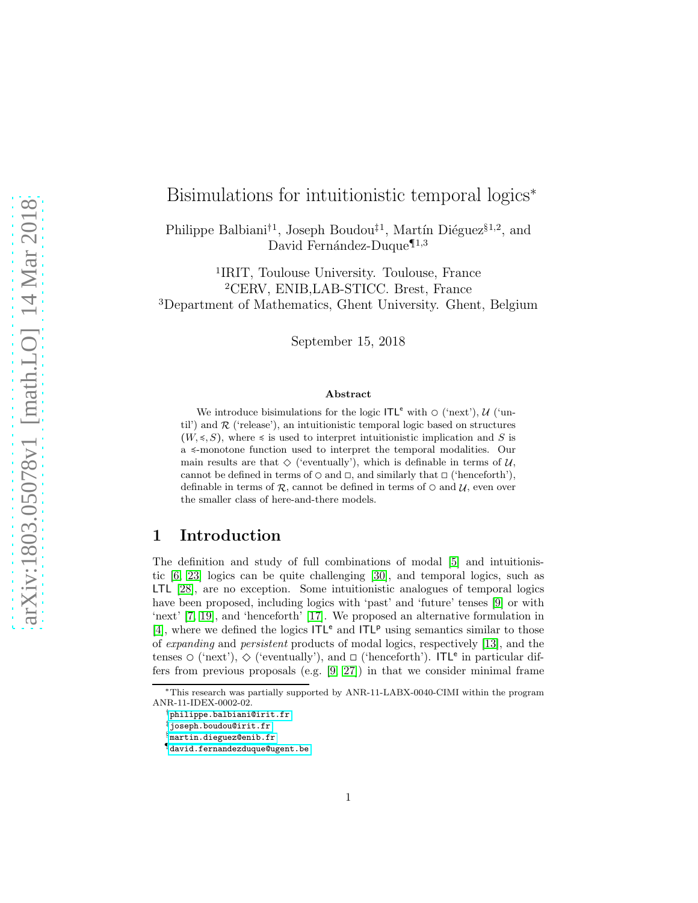# Bisimulations for intuitionistic temporal logics<sup>∗</sup>

Philippe Balbiani<sup>†1</sup>, Joseph Boudou<sup>‡1</sup>, Martín Diéguez<sup>§1,2</sup>, and David Fernández-Duque<sup> $\P$ 1,3</sup>

1 IRIT, Toulouse University. Toulouse, France <sup>2</sup>CERV, ENIB,LAB-STICC. Brest, France <sup>3</sup>Department of Mathematics, Ghent University. Ghent, Belgium

September 15, 2018

#### Abstract

We introduce bisimulations for the logic  $\mathsf{ITL}^e$  with  $\circ$  ('next'),  $\mathcal{U}$  ('until') and  $\mathcal R$  ('release'), an intuitionistic temporal logic based on structures  $(W, \leq S)$ , where  $\leq$  is used to interpret intuitionistic implication and S is a ≼-monotone function used to interpret the temporal modalities. Our main results are that  $\Diamond$  ('eventually'), which is definable in terms of  $\mathcal{U}$ , cannot be defined in terms of  $\circ$  and  $\Box$ , and similarly that  $\Box$  ('henceforth'), definable in terms of  $\mathcal R$ , cannot be defined in terms of  $\circ$  and  $\mathcal U$ , even over the smaller class of here-and-there models.

### 1 Introduction

The definition and study of full combinations of modal [\[5\]](#page-15-0) and intuitionistic [\[6,](#page-15-1) [23\]](#page-16-0) logics can be quite challenging [\[30\]](#page-17-0), and temporal logics, such as LTL [\[28\]](#page-17-1), are no exception. Some intuitionistic analogues of temporal logics have been proposed, including logics with 'past' and 'future' tenses [\[9\]](#page-15-2) or with 'next' [\[7,](#page-15-3) [19\]](#page-16-1), and 'henceforth' [\[17\]](#page-16-2). We proposed an alternative formulation in [\[4\]](#page-15-4), where we defined the logics  $ITL<sup>e</sup>$  and  $ITL<sup>p</sup>$  using semantics similar to those of expanding and persistent products of modal logics, respectively [\[13\]](#page-15-5), and the tenses  $\circ$  ('next'),  $\diamond$  ('eventually'), and  $\Box$  ('henceforth'). ITL<sup>e</sup> in particular differs from previous proposals (e.g. [\[9,](#page-15-2) [27\]](#page-16-3)) in that we consider minimal frame

<sup>∗</sup>This research was partially supported by ANR-11-LABX-0040-CIMI within the program ANR-11-IDEX-0002-02.

<sup>†</sup>[philippe.balbiani@irit.fr](mailto:philippe.balbiani@irit.fr)

<sup>‡</sup>[joseph.boudou@irit.fr](mailto:joseph.boudou@irit.fr)

<sup>§</sup>[martin.dieguez@enib.fr](mailto:martin.dieguez@enib.fr)

<sup>¶</sup>[david.fernandezduque@ugent.be](mailto:david.fernandezduque@ugent.be)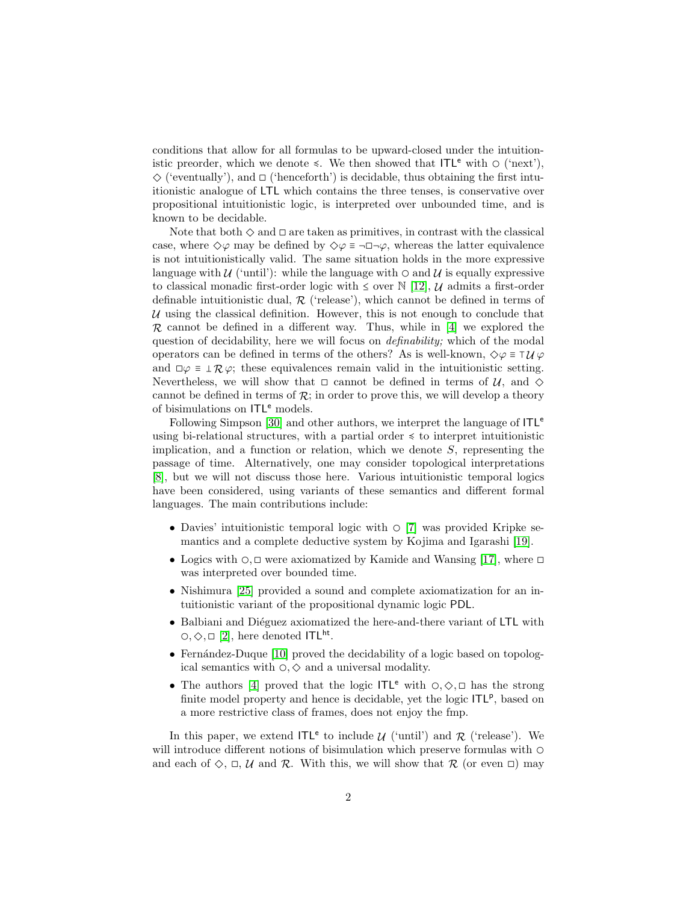conditions that allow for all formulas to be upward-closed under the intuitionistic preorder, which we denote  $\leq$ . We then showed that ITL<sup>e</sup> with  $\circ$  ('next'),  $\diamondsuit$  ('eventually'), and  $\Box$  ('henceforth') is decidable, thus obtaining the first intuitionistic analogue of LTL which contains the three tenses, is conservative over propositional intuitionistic logic, is interpreted over unbounded time, and is known to be decidable.

Note that both  $\diamond$  and  $\square$  are taken as primitives, in contrast with the classical case, where  $\Diamond \varphi$  may be defined by  $\Diamond \varphi \equiv \neg \Box \neg \varphi$ , whereas the latter equivalence is not intuitionistically valid. The same situation holds in the more expressive language with  $\mathcal{U}$  ('until'): while the language with  $\circ$  and  $\mathcal{U}$  is equally expressive to classical monadic first-order logic with  $\leq$  over  $\mathbb{N}$  [\[12\]](#page-15-6),  $\mathcal{U}$  admits a first-order definable intuitionistic dual,  $R$  ('release'), which cannot be defined in terms of  $U$  using the classical definition. However, this is not enough to conclude that  $\mathcal R$  cannot be defined in a different way. Thus, while in [\[4\]](#page-15-4) we explored the question of decidability, here we will focus on definability; which of the modal operators can be defined in terms of the others? As is well-known,  $\Diamond \varphi \equiv \top \mathcal{U} \varphi$ and  $\Box \varphi \equiv \bot \mathcal{R} \varphi$ ; these equivalences remain valid in the intuitionistic setting. Nevertheless, we will show that  $\Box$  cannot be defined in terms of  $\mathcal{U}$ , and  $\diamond$ cannot be defined in terms of  $\mathcal{R}$ ; in order to prove this, we will develop a theory of bisimulations on  $ITL<sup>e</sup>$  models.

Following Simpson [\[30\]](#page-17-0) and other authors, we interpret the language of  $ITL<sup>e</sup>$ using bi-relational structures, with a partial order  $\leq$  to interpret intuitionistic implication, and a function or relation, which we denote  $S$ , representing the passage of time. Alternatively, one may consider topological interpretations [\[8\]](#page-15-7), but we will not discuss those here. Various intuitionistic temporal logics have been considered, using variants of these semantics and different formal languages. The main contributions include:

- Davies' intuitionistic temporal logic with  $\circ$  [\[7\]](#page-15-3) was provided Kripke semantics and a complete deductive system by Kojima and Igarashi [\[19\]](#page-16-1).
- Logics with  $\circ$ ,  $\Box$  were axiomatized by Kamide and Wansing [\[17\]](#page-16-2), where  $\Box$ was interpreted over bounded time.
- Nishimura [\[25\]](#page-16-4) provided a sound and complete axiomatization for an intuitionistic variant of the propositional dynamic logic PDL.
- Balbiani and Diéguez axiomatized the here-and-there variant of LTL with  $\circ$ ,  $\circ$ ,  $\Box$  [\[2\]](#page-15-8), here denoted ITL<sup>ht</sup>.
- Fernández-Duque [\[10\]](#page-15-9) proved the decidability of a logic based on topological semantics with  $\circ$ ,  $\diamond$  and a universal modality.
- The authors [\[4\]](#page-15-4) proved that the logic ITL<sup>e</sup> with  $\circ$ ,  $\circlearrowright$ ,  $\circlearrowright$  has the strong finite model property and hence is decidable, yet the logic  $ITL<sup>p</sup>$ , based on a more restrictive class of frames, does not enjoy the fmp.

In this paper, we extend  $ITL<sup>e</sup>$  to include  $\mathcal{U}$  ('until') and  $\mathcal{R}$  ('release'). We will introduce different notions of bisimulation which preserve formulas with  $\circ$ and each of  $\Diamond$ ,  $\Box$ ,  $\mathcal U$  and  $\mathcal R$ . With this, we will show that  $\mathcal R$  (or even  $\Box$ ) may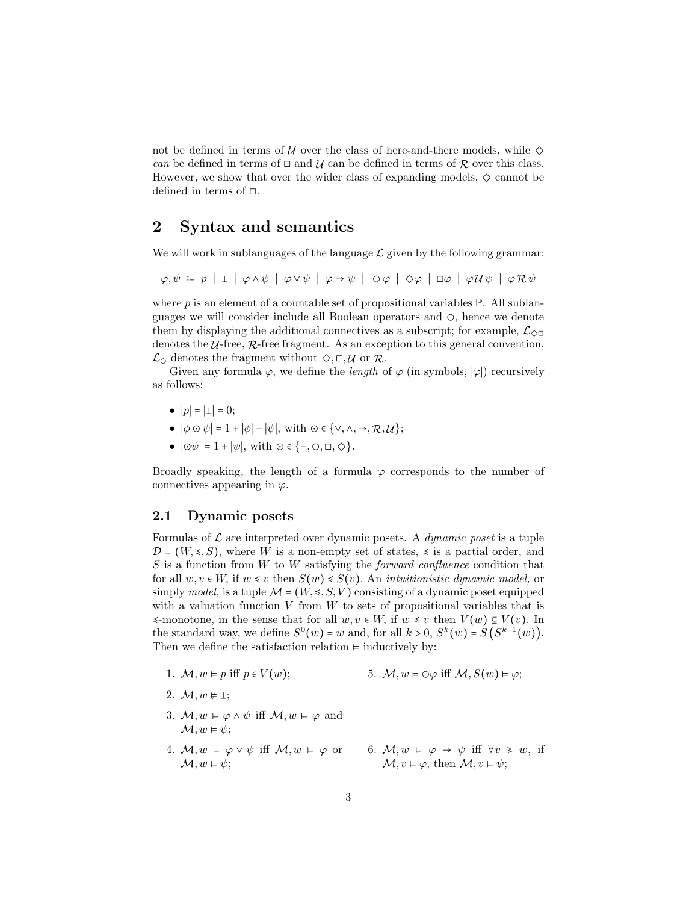not be defined in terms of  $\mathcal U$  over the class of here-and-there models, while  $\diamondsuit$ can be defined in terms of  $\Box$  and  $\mathcal U$  can be defined in terms of  $\mathcal R$  over this class. However, we show that over the wider class of expanding models,  $\diamond$  cannot be defined in terms of  $\square$ .

### 2 Syntax and semantics

We will work in sublanguages of the language  $\mathcal L$  given by the following grammar:

 $\varphi, \psi = p \mid \bot \mid \varphi \wedge \psi \mid \varphi \vee \psi \mid \varphi \rightarrow \psi \mid O\varphi \mid \Diamond \varphi \mid \Box \varphi \mid \varphi \mathcal{U} \psi \mid \varphi \mathcal{R} \psi$ 

where  $p$  is an element of a countable set of propositional variables  $\mathbb{P}$ . All sublanguages we will consider include all Boolean operators and ◯, hence we denote them by displaying the additional connectives as a subscript; for example,  $\mathcal{L}_{\Diamond \Box}$ denotes the  $U$ -free,  $R$ -free fragment. As an exception to this general convention,  $\mathcal{L}_{\odot}$  denotes the fragment without  $\diamondsuit, \Box, \mathcal{U}$  or  $\mathcal{R}$ .

Given any formula  $\varphi$ , we define the *length* of  $\varphi$  (in symbols,  $|\varphi|$ ) recursively as follows:

- $|p| = |\perp| = 0;$
- $|\phi \odot \psi| = 1 + |\phi| + |\psi|$ , with  $\odot \in \{ \vee, \wedge, \rightarrow, \mathcal{R}, \mathcal{U} \};$
- $|\odot \psi| = 1 + |\psi|$ , with  $\odot \in \{\neg, \circ, \Box, \diamondsuit\}.$

Broadly speaking, the length of a formula  $\varphi$  corresponds to the number of connectives appearing in  $\varphi$ .

#### 2.1 Dynamic posets

Formulas of  $\mathcal L$  are interpreted over dynamic posets. A *dynamic poset* is a tuple  $\mathcal{D} = (W, \leq, S)$ , where W is a non-empty set of states,  $\leq$  is a partial order, and  $S$  is a function from  $W$  to  $W$  satisfying the *forward confluence* condition that for all  $w, v \in W$ , if  $w \leq v$  then  $S(w) \leq S(v)$ . An *intuitionistic dynamic model*, or simply model, is a tuple  $\mathcal{M} = (W, \leq, S, V)$  consisting of a dynamic poset equipped with a valuation function  $V$  from  $W$  to sets of propositional variables that is  $\leq$ -monotone, in the sense that for all w, v ∈ W, if  $w \leq v$  then  $V(w) \subseteq V(v)$ . In the standard way, we define  $S^0(w) = w$  and, for all  $k > 0$ ,  $S^k(w) = S(S^{k-1}(w))$ . Then we define the satisfaction relation  $\models$  inductively by:

- 1.  $\mathcal{M}, w \models p$  iff  $p \in V(w)$ ; 5.  $M, w \models \bigcirc \varphi$  iff  $M, S(w) \models \varphi;$
- 2.  $\mathcal{M}, w \neq \bot$ ;
- 3.  $M, w \models \varphi \land \psi$  iff  $M, w \models \varphi$  and  $\mathcal{M}, w \models \psi$ ;
- 4.  $M, w \models \varphi \lor \psi$  iff  $M, w \models \varphi$  or  $\mathcal{M}, w \models \psi$ :
- 6.  $\mathcal{M}, w \models \varphi \rightarrow \psi$  iff  $\forall v \geq w$ , if  $\mathcal{M}, v \models \varphi$ , then  $\mathcal{M}, v \models \psi$ ;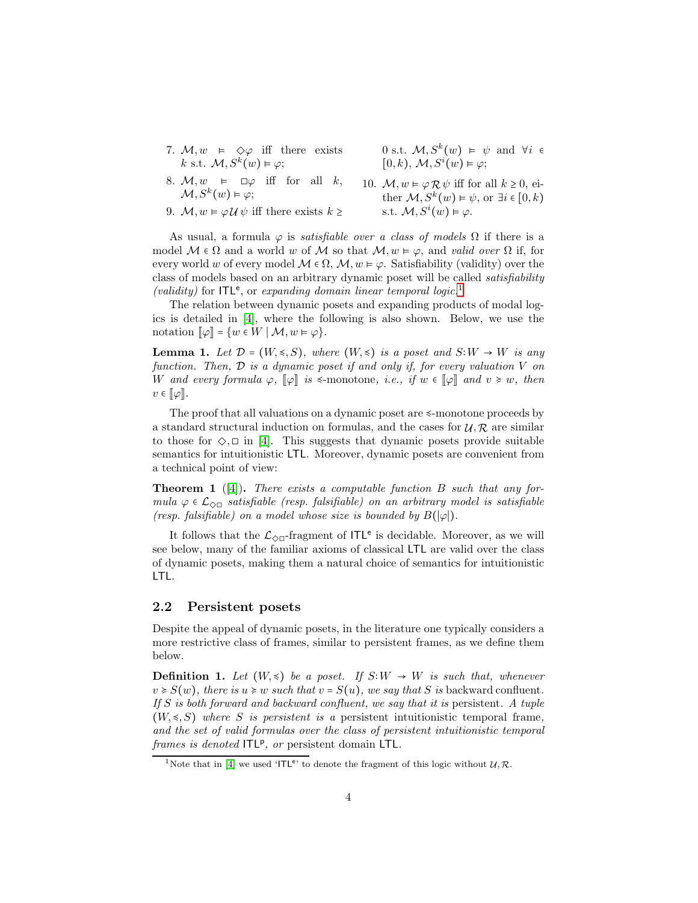- 7.  $M, w \models \Diamond \varphi$  iff there exists k s.t.  $\mathcal{M}, S^k(w) \models \varphi;$
- 8.  $M, w \models \Box \varphi$  iff for all k,  $\mathcal{M}, S^k(w) \vDash \varphi;$
- 9.  $M, w \models \varphi \mathcal{U} \psi$  iff there exists  $k \geq$

0 s.t.  $\mathcal{M}, S^k(w) \models \psi$  and  $\forall i \in$  $[0,k), \mathcal{M}, S^i(w) \models \varphi;$ 

10.  $M, w \models \varphi \mathcal{R} \psi$  iff for all  $k \geq 0$ , either  $\mathcal{M}, S^k(w) \models \psi$ , or  $\exists i \in [0, k)$ s.t.  $\mathcal{M}, S^i(w) \models \varphi$ .

As usual, a formula  $\varphi$  is *satisfiable over a class of models*  $\Omega$  if there is a model  $M \in \Omega$  and a world w of M so that  $M, w \models \varphi$ , and valid over  $\Omega$  if, for every world w of every model  $M \in \Omega$ ,  $M, w \models \varphi$ . Satisfiability (validity) over the class of models based on an arbitrary dynamic poset will be called satisfiability (validity) for  $ITL<sup>e</sup>$ , or expanding domain linear temporal logic.<sup>[1](#page-3-0)</sup>

The relation between dynamic posets and expanding products of modal logics is detailed in [\[4\]](#page-15-4), where the following is also shown. Below, we use the notation  $\llbracket \varphi \rrbracket = \{ w \in W \mid \mathcal{M}, w \models \varphi \}.$ 

**Lemma 1.** Let  $\mathcal{D} = (W, \leq, S)$ , where  $(W, \leq)$  is a poset and  $S: W \to W$  is any function. Then,  $\mathcal D$  is a dynamic poset if and only if, for every valuation  $V$  on W and every formula  $\varphi$ ,  $\llbracket \varphi \rrbracket$  is  $\leq$ -monotone, i.e., if  $w \in \llbracket \varphi \rrbracket$  and  $v \geq w$ , then  $v \in [\![\varphi]\!]$ .

The proof that all valuations on a dynamic poset are ≼-monotone proceeds by a standard structural induction on formulas, and the cases for  $\mathcal{U}, \mathcal{R}$  are similar to those for  $\Diamond$ ,  $\Box$  in [\[4\]](#page-15-4). This suggests that dynamic posets provide suitable semantics for intuitionistic LTL. Moreover, dynamic posets are convenient from a technical point of view:

<span id="page-3-1"></span>**Theorem 1** ([\[4\]](#page-15-4)). There exists a computable function  $B$  such that any formula  $\varphi \in \mathcal{L}_{\Diamond \Box}$  satisfiable (resp. falsifiable) on an arbitrary model is satisfiable (resp. falsifiable) on a model whose size is bounded by  $B(|\varphi|)$ .

It follows that the  $\mathcal{L}_{\Diamond\Box}$ -fragment of  ${\sf ITL}^e$  is decidable. Moreover, as we will see below, many of the familiar axioms of classical LTL are valid over the class of dynamic posets, making them a natural choice of semantics for intuitionistic LTL.

#### 2.2 Persistent posets

Despite the appeal of dynamic posets, in the literature one typically considers a more restrictive class of frames, similar to persistent frames, as we define them below.

**Definition 1.** Let  $(W, \leq)$  be a poset. If S:W  $\rightarrow$  W is such that, whenever  $v \ge S(w)$ , there is  $u \ge w$  such that  $v = S(u)$ , we say that S is backward confluent. If S is both forward and backward confluent, we say that it is persistent. A tuple  $(W, \leq S)$  where S is persistent is a persistent intuitionistic temporal frame, and the set of valid formulas over the class of persistent intuitionistic temporal frames is denoted ITL<sup>p</sup>, or persistent domain LTL.

<span id="page-3-0"></span><sup>&</sup>lt;sup>1</sup>Note that in [\[4\]](#page-15-4) we used 'ITL<sup>e</sup>' to denote the fragment of this logic without  $U, R$ .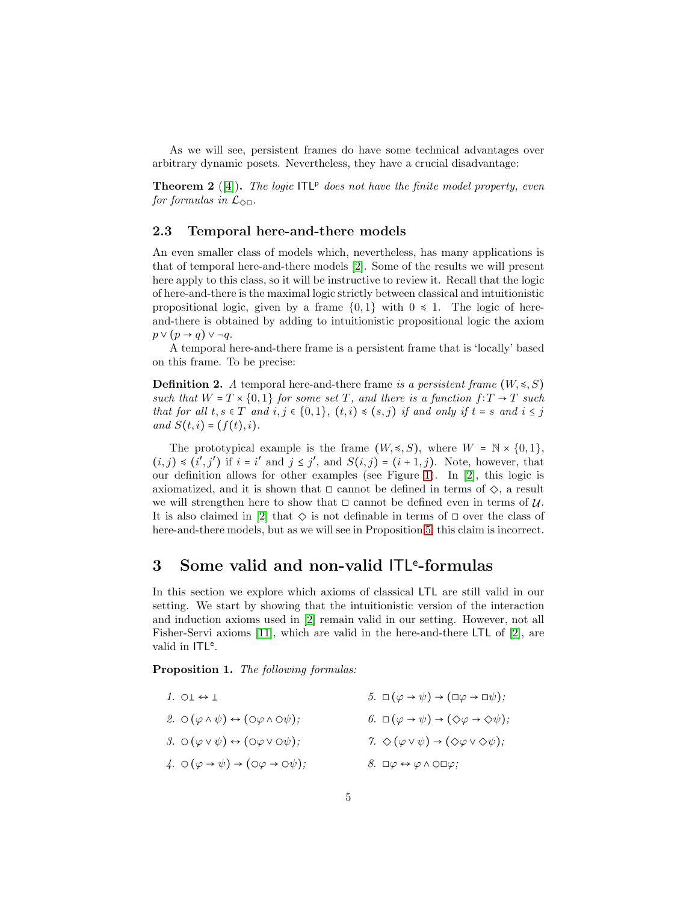As we will see, persistent frames do have some technical advantages over arbitrary dynamic posets. Nevertheless, they have a crucial disadvantage:

<span id="page-4-2"></span>**Theorem 2** ([\[4\]](#page-15-4)). The logic  $ITL^p$  does not have the finite model property, even for formulas in  $\mathcal{L}_{\Diamond \Box}$ .

#### <span id="page-4-1"></span>2.3 Temporal here-and-there models

An even smaller class of models which, nevertheless, has many applications is that of temporal here-and-there models [\[2\]](#page-15-8). Some of the results we will present here apply to this class, so it will be instructive to review it. Recall that the logic of here-and-there is the maximal logic strictly between classical and intuitionistic propositional logic, given by a frame  $\{0,1\}$  with  $0 \le 1$ . The logic of hereand-there is obtained by adding to intuitionistic propositional logic the axiom  $p \vee (p \rightarrow q) \vee \neg q$ .

A temporal here-and-there frame is a persistent frame that is 'locally' based on this frame. To be precise:

**Definition 2.** A temporal here-and-there frame is a persistent frame  $(W, \leq, S)$ such that  $W = T \times \{0,1\}$  for some set T, and there is a function  $f: T \to T$  such that for all  $t, s \in T$  and  $i, j \in \{0,1\}, (t, i) \leq (s, j)$  if and only if  $t = s$  and  $i \leq j$ and  $S(t, i) = (f(t), i)$ .

The prototypical example is the frame  $(W, \leq, S)$ , where  $W = \mathbb{N} \times \{0, 1\}$ ,  $(i, j) \preccurlyeq (i', j')$  if  $i = i'$  and  $j \preceq j'$ , and  $S(i, j) = (i + 1, j)$ . Note, however, that our definition allows for other examples (see Figure [1\)](#page-11-0). In [\[2\]](#page-15-8), this logic is axiomatized, and it is shown that  $\Box$  cannot be defined in terms of  $\diamondsuit$ , a result we will strengthen here to show that  $\Box$  cannot be defined even in terms of  $\mathcal{U}$ . It is also claimed in [\[2\]](#page-15-8) that  $\Diamond$  is not definable in terms of  $\Box$  over the class of here-and-there models, but as we will see in Proposition [5,](#page-12-0) this claim is incorrect.

# 3 Some valid and non-valid ITL<sup>e</sup>-formulas

In this section we explore which axioms of classical LTL are still valid in our setting. We start by showing that the intuitionistic version of the interaction and induction axioms used in [\[2\]](#page-15-8) remain valid in our setting. However, not all Fisher-Servi axioms [\[11\]](#page-15-10), which are valid in the here-and-there LTL of [\[2\]](#page-15-8), are valid in ITL<sup>e</sup>.

<span id="page-4-0"></span>Proposition 1. The following formulas:

| 1. O $\perp \leftrightarrow \perp$                                                          | $5. \Box(\varphi \rightarrow \psi) \rightarrow (\Box \varphi \rightarrow \Box \psi);$ |
|---------------------------------------------------------------------------------------------|---------------------------------------------------------------------------------------|
| 2. $\circ$ ( $\varphi \land \psi$ ) $\leftrightarrow$ ( $\circ \varphi \land \circ \psi$ ); | 6. $\square(\varphi \to \psi) \to (\Diamond \varphi \to \Diamond \psi);$              |
| 3. $\circ$ ( $\varphi \vee \psi$ ) $\leftrightarrow$ ( $\circ \varphi \vee \circ \psi$ );   | 7. $\Diamond (\varphi \vee \psi) \rightarrow (\Diamond \varphi \vee \Diamond \psi);$  |
| 4. $\circ (\varphi \rightarrow \psi) \rightarrow (\circ \varphi \rightarrow \circ \psi);$   | $8. \Box \varphi \leftrightarrow \varphi \land \Box \varphi;$                         |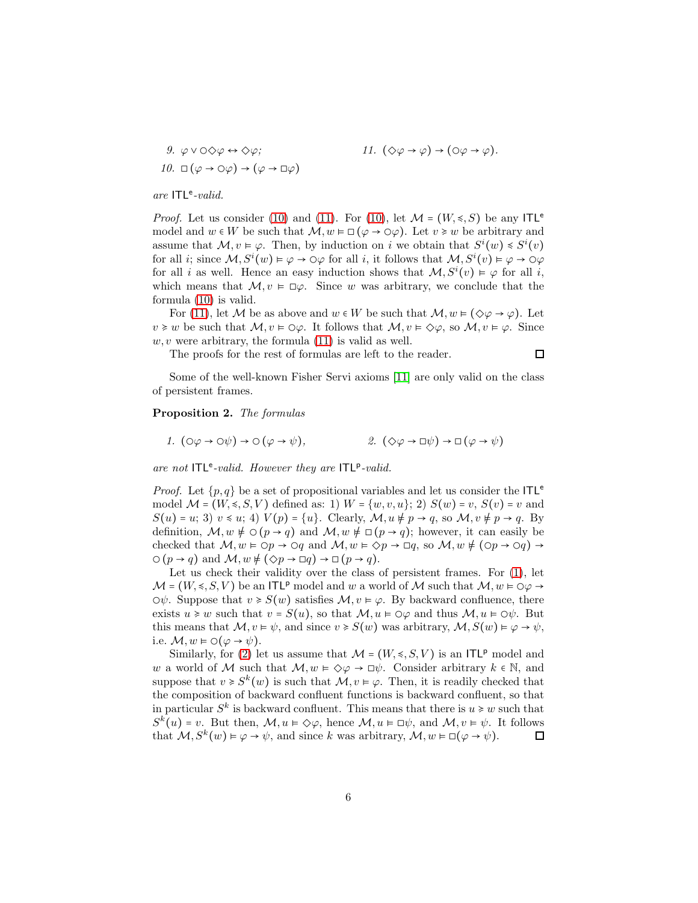<span id="page-5-0"></span>9. 
$$
\varphi \lor \bigcirc \Diamond \varphi \leftrightarrow \Diamond \varphi;
$$
  
10.  $\Box (\varphi \to \bigcirc \varphi) \to (\varphi \to \Box \varphi)$   
11.  $(\Diamond \varphi \to \Box \varphi)$ 

are  $ITL<sup>e</sup>-valid$ .

*Proof.* Let us consider [\(10\)](#page-5-0) and [\(11\)](#page-5-1). For (10), let  $\mathcal{M} = (W, \leq, S)$  be any ITL<sup>e</sup> model and  $w \in W$  be such that  $\mathcal{M}, w \models \Box(\varphi \rightarrow \bigcirc \varphi)$ . Let  $v \geq w$  be arbitrary and assume that  $\mathcal{M}, v \models \varphi$ . Then, by induction on i we obtain that  $S^i(w) \leq S^i(v)$ for all *i*; since  $M, S^i(w) \models \varphi \to \varphi \varphi$  for all *i*, it follows that  $M, S^i(v) \models \varphi \to \varphi \varphi$ for all i as well. Hence an easy induction shows that  $\mathcal{M}, S^i(v) \models \varphi$  for all i, which means that  $\mathcal{M}, v \models \Box \varphi$ . Since w was arbitrary, we conclude that the formula [\(10\)](#page-5-0) is valid.

For [\(11\)](#page-5-1), let M be as above and  $w \in W$  be such that  $\mathcal{M}, w \models (\Diamond \varphi \rightarrow \varphi)$ . Let  $v \geq w$  be such that  $\mathcal{M}, v \models \bigcirc \varphi$ . It follows that  $\mathcal{M}, v \models \Diamond \varphi$ , so  $\mathcal{M}, v \models \varphi$ . Since  $w, v$  were arbitrary, the formula  $(11)$  is valid as well.

The proofs for the rest of formulas are left to the reader.

 $\Box$ 

<span id="page-5-1"></span> $\varphi$ ) → ( $\circ \varphi \rightarrow \varphi$ ).

Some of the well-known Fisher Servi axioms [\[11\]](#page-15-10) are only valid on the class of persistent frames.

#### <span id="page-5-4"></span><span id="page-5-2"></span>Proposition 2. The formulas

<span id="page-5-3"></span>1. 
$$
(\circ \varphi \to \circ \psi) \to \circ (\varphi \to \psi),
$$
  
2.  $(\diamond \varphi \to \Box \psi) \to \Box (\varphi \to \psi)$ 

are not  $ITL<sup>e</sup>-valid.$  However they are  $ITL<sup>p</sup>-valid.$ 

*Proof.* Let  $\{p,q\}$  be a set of propositional variables and let us consider the ITL<sup>e</sup> model  $\mathcal{M} = (W, \leq, S, V)$  defined as: 1)  $W = \{w, v, u\}$ ; 2)  $S(w) = v$ ,  $S(v) = v$  and  $S(u) = u$ ; 3)  $v \le u$ ; 4)  $V(p) = \{u\}$ . Clearly,  $\mathcal{M}, u \ne p \to q$ , so  $\mathcal{M}, v \ne p \to q$ . By definition,  $M, w \not\models \bigcirc (p \rightarrow q)$  and  $M, w \not\models \Box (p \rightarrow q)$ ; however, it can easily be checked that  $M, w \models \bigcirc p \rightarrow \bigcirc q$  and  $M, w \models \bigcirc p \rightarrow \Box q$ , so  $M, w \not\models (\bigcirc p \rightarrow \bigcirc q) \rightarrow$  $\bigcirc (p \to q)$  and  $\mathcal{M}, w \neq (\Diamond p \to \Box q) \to \Box (p \to q).$ 

Let us check their validity over the class of persistent frames. For  $(1)$ , let  $\mathcal{M} = (W, \leq, S, V)$  be an ITL<sup>p</sup> model and w a world of M such that  $\mathcal{M}, w \models \bigcirc \varphi \rightarrow$  $\Diamond \psi$ . Suppose that  $v \geq S(w)$  satisfies  $\mathcal{M}, v \models \varphi$ . By backward confluence, there exists  $u \geq w$  such that  $v = S(u)$ , so that  $\mathcal{M}, u \in \bigcirc \varphi$  and thus  $\mathcal{M}, u \in \bigcirc \psi$ . But this means that  $\mathcal{M}, v \models \psi$ , and since  $v \ge S(w)$  was arbitrary,  $\mathcal{M}, S(w) \models \varphi \rightarrow \psi$ , i.e.  $\mathcal{M}, w \models \bigcirc (\varphi \rightarrow \psi).$ 

Similarly, for [\(2\)](#page-5-3) let us assume that  $\mathcal{M} = (W, \leq, S, V)$  is an ITLP model and w a world of M such that  $\mathcal{M}, w \models \Diamond \varphi \rightarrow \Box \psi$ . Consider arbitrary  $k \in \mathbb{N}$ , and suppose that  $v \geq S^k(w)$  is such that  $\mathcal{M}, v \in \varphi$ . Then, it is readily checked that the composition of backward confluent functions is backward confluent, so that in particular  $S^k$  is backward confluent. This means that there is  $u \geq w$  such that  $S^k(u)$  = v. But then,  $\mathcal{M}, u \models \Diamond \varphi$ , hence  $\mathcal{M}, u \models \Box \psi$ , and  $\mathcal{M}, v \models \psi$ . It follows that  $M, S^k(w) \models \varphi \rightarrow \psi$ , and since k was arbitrary,  $M, w \models \Box(\varphi \rightarrow \psi)$ .  $\Box$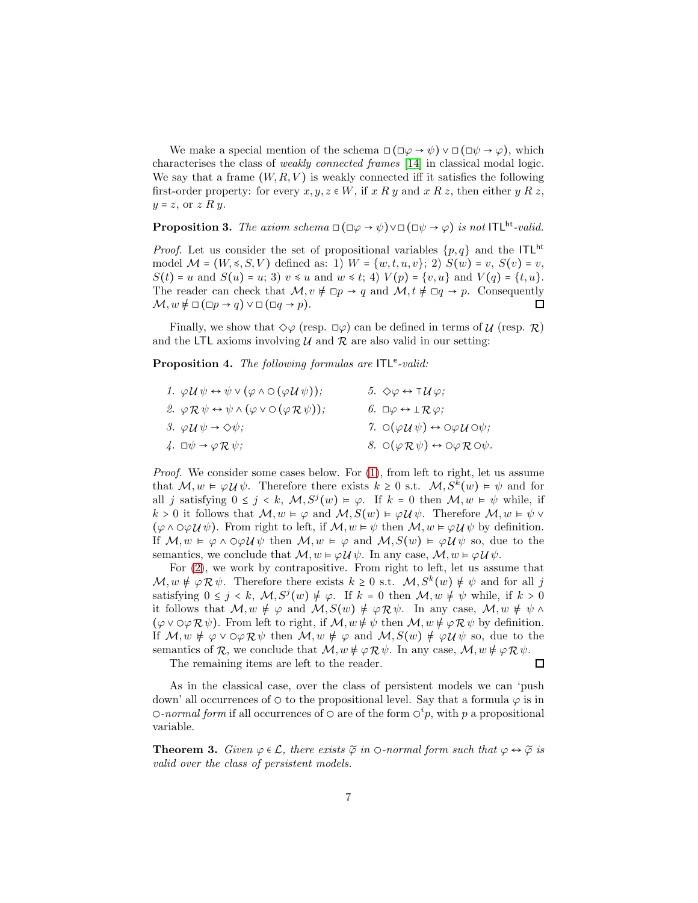We make a special mention of the schema  $\Box(\Box\varphi\rightarrow\psi)\vee\Box(\Box\psi\rightarrow\varphi)$ , which characterises the class of weakly connected frames [\[14\]](#page-16-5) in classical modal logic. We say that a frame  $(W, R, V)$  is weakly connected iff it satisfies the following first-order property: for every  $x, y, z \in W$ , if  $x R y$  and  $x R z$ , then either  $y R z$ ,  $y = z$ , or  $z \, R \, y$ .

**Proposition 3.** The axiom schema  $\Box(\Box\varphi\rightarrow\psi)\vee\Box(\Box\psi\rightarrow\varphi)$  is not ITL<sup>ht</sup>-valid.

*Proof.* Let us consider the set of propositional variables  $\{p,q\}$  and the ITL<sup>ht</sup> model  $\mathcal{M} = (W, \leq, S, V)$  defined as: 1)  $W = \{w, t, u, v\}$ ; 2)  $S(w) = v$ ,  $S(v) = v$ ,  $S(t) = u$  and  $S(u) = u$ ; 3)  $v \le u$  and  $w \le t$ ; 4)  $V(p) = \{v, u\}$  and  $V(q) = \{t, u\}$ . The reader can check that  $M, v \neq \Box p \rightarrow q$  and  $M, t \neq \Box q \rightarrow p$ . Consequently  $\mathcal{M}, w \not\models \Box(\Box p \rightarrow q) \vee \Box(\Box q \rightarrow p).$  $\Box$ 

Finally, we show that  $\Diamond \varphi$  (resp.  $\Box \varphi$ ) can be defined in terms of  $\mathcal{U}$  (resp.  $\mathcal{R}$ ) and the LTL axioms involving  $\mathcal U$  and  $\mathcal R$  are also valid in our setting:

<span id="page-6-2"></span><span id="page-6-0"></span>Proposition 4. The following formulas are  $ITL<sup>e</sup>$ -valid:

<span id="page-6-1"></span>

| 1. $\varphi \mathcal{U} \psi \leftrightarrow \psi \vee (\varphi \wedge \varphi)(\varphi \mathcal{U} \psi))$ ;  | 5. $\Diamond \varphi \leftrightarrow \top \mathcal{U} \varphi$ ;                               |
|----------------------------------------------------------------------------------------------------------------|------------------------------------------------------------------------------------------------|
| 2. $\varphi \mathcal{R} \psi \leftrightarrow \psi \wedge (\varphi \vee \bigcirc (\varphi \mathcal{R} \psi))$ ; | 6. $\Box \varphi \leftrightarrow \bot \mathcal{R} \varphi$ ;                                   |
| 3. $\varphi \mathcal{U} \psi \rightarrow \Diamond \psi$ ;                                                      | 7. $\circ$ $(\varphi \mathcal{U} \psi) \leftrightarrow \circ \varphi \mathcal{U} \circ \psi$ ; |
| 4. $\Box \psi \rightarrow \varphi \mathcal{R} \psi$ ;                                                          | 8. $\circ(\varphi \mathcal{R}\psi) \leftrightarrow \circ \varphi \mathcal{R} \circ \psi$ .     |

*Proof.* We consider some cases below. For  $(1)$ , from left to right, let us assume that  $M, w \in \varphi \mathcal{U} \psi$ . Therefore there exists  $k \geq 0$  s.t.  $M, S^k(w) \models \psi$  and for all j satisfying  $0 \le j \le k$ ,  $\mathcal{M}, S^{j}(w) \models \varphi$ . If  $k = 0$  then  $\mathcal{M}, w \models \psi$  while, if k > 0 it follows that  $M, w \models \varphi$  and  $M, S(w) \models \varphi \mathcal{U} \psi$ . Therefore  $M, w \models \psi$  v  $(\varphi \wedge \varphi \vee \psi)$ . From right to left, if  $\mathcal{M}, w \models \psi$  then  $\mathcal{M}, w \models \varphi \vee \psi$  by definition. If  $\mathcal{M}, w \models \varphi \land \bigcirc \varphi \mathcal{U} \psi$  then  $\mathcal{M}, w \models \varphi$  and  $\mathcal{M}, S(w) \models \varphi \mathcal{U} \psi$  so, due to the semantics, we conclude that  $\mathcal{M}, w \models \varphi \mathcal{U} \psi$ . In any case,  $\mathcal{M}, w \models \varphi \mathcal{U} \psi$ .

For [\(2\)](#page-6-1), we work by contrapositive. From right to left, let us assume that  $\mathcal{M}, w \notin \varphi \mathcal{R} \psi$ . Therefore there exists  $k \geq 0$  s.t.  $\mathcal{M}, S^k(w) \notin \psi$  and for all j satisfying  $0 \leq j \leq k$ ,  $\mathcal{M}, S^{j}(w) \neq \varphi$ . If  $k = 0$  then  $\mathcal{M}, w \neq \psi$  while, if  $k > 0$ it follows that  $M, w \neq \varphi$  and  $M, S(w) \neq \varphi \mathcal{R} \psi$ . In any case,  $M, w \neq \psi \wedge \psi$  $(\varphi \vee \varphi \wedge \varphi \wedge \psi)$ . From left to right, if  $\mathcal{M}, w \neq \psi$  then  $\mathcal{M}, w \neq \varphi \wedge \psi$  by definition. If  $M, w \neq \varphi \vee \varphi \mathcal{R} \psi$  then  $M, w \neq \varphi$  and  $M, S(w) \neq \varphi \mathcal{U} \psi$  so, due to the semantics of  $\mathcal{R}$ , we conclude that  $\mathcal{M}, w \neq \varphi \mathcal{R} \psi$ . In any case,  $\mathcal{M}, w \neq \varphi \mathcal{R} \psi$ .

The remaining items are left to the reader.

 $\Box$ 

As in the classical case, over the class of persistent models we can 'push down' all occurrences of  $\circ$  to the propositional level. Say that a formula  $\varphi$  is in  $\circ$ -normal form if all occurrences of  $\circ$  are of the form  $\circ^i p$ , with p a propositional variable.

**Theorem 3.** Given  $\varphi \in \mathcal{L}$ , there exists  $\widetilde{\varphi}$  in  $\circ$ -normal form such that  $\varphi \leftrightarrow \widetilde{\varphi}$  is valid over the class of persistent models.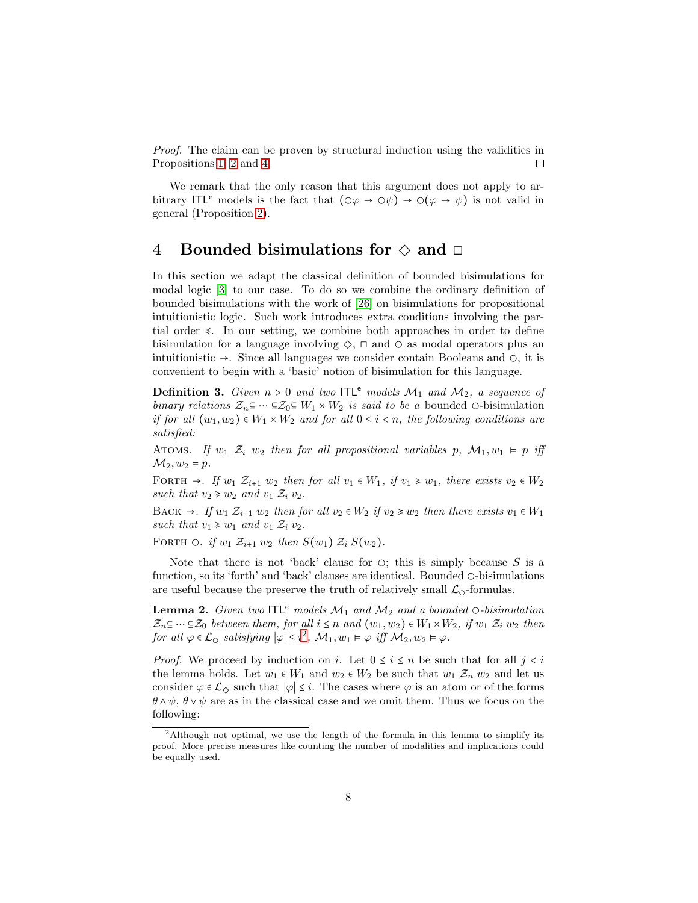Proof. The claim can be proven by structural induction using the validities in Propositions [1,](#page-4-0) [2](#page-5-4) and [4.](#page-6-2) П

We remark that the only reason that this argument does not apply to arbitrary ITL<sup>e</sup> models is the fact that  $(\circ \varphi \to \circ \psi) \to \circ (\varphi \to \psi)$  is not valid in general (Proposition [2\)](#page-5-4).

### 4 Bounded bisimulations for  $\diamond$  and  $\square$

In this section we adapt the classical definition of bounded bisimulations for modal logic [\[3\]](#page-15-11) to our case. To do so we combine the ordinary definition of bounded bisimulations with the work of [\[26\]](#page-16-6) on bisimulations for propositional intuitionistic logic. Such work introduces extra conditions involving the partial order ≼. In our setting, we combine both approaches in order to define bisimulation for a language involving  $\diamondsuit$ ,  $\square$  and  $\square$  as modal operators plus an intuitionistic  $\rightarrow$ . Since all languages we consider contain Booleans and  $\circ$ , it is convenient to begin with a 'basic' notion of bisimulation for this language.

**Definition 3.** Given  $n > 0$  and two ITL<sup>e</sup> models  $\mathcal{M}_1$  and  $\mathcal{M}_2$ , a sequence of binary relations  $\mathcal{Z}_n \subseteq \cdots \subseteq \mathcal{Z}_0 \subseteq W_1 \times W_2$  is said to be a bounded  $\circ$ -bisimulation if for all  $(w_1, w_2) \in W_1 \times W_2$  and for all  $0 \leq i \leq n$ , the following conditions are satisfied:

ATOMS. If  $w_1 \, \mathcal{Z}_i \, w_2$  then for all propositional variables p,  $\mathcal{M}_1, w_1 \vDash p$  iff  $\mathcal{M}_2, w_2 \models p.$ 

FORTH  $\rightarrow$ . If  $w_1 \mathcal{Z}_{i+1} w_2$  then for all  $v_1 \in W_1$ , if  $v_1 \geq w_1$ , there exists  $v_2 \in W_2$ such that  $v_2 \geq v_2$  and  $v_1 \mathcal{Z}_i v_2$ .

BACK  $\rightarrow$ . If  $w_1 \mathcal{Z}_{i+1} w_2$  then for all  $v_2 \in W_2$  if  $v_2 \geq w_2$  then there exists  $v_1 \in W_1$ such that  $v_1 \geq v_1$  and  $v_1 \mathcal{Z}_i v_2$ .

FORTH  $\odot$ . if  $w_1 \mathcal{Z}_{i+1} w_2$  then  $S(w_1) \mathcal{Z}_i S(w_2)$ .

Note that there is not 'back' clause for  $\circ$ ; this is simply because S is a function, so its 'forth' and 'back' clauses are identical. Bounded ◯-bisimulations are useful because the preserve the truth of relatively small  $\mathcal{L}_{\mathcal{Q}}$ -formulas.

<span id="page-7-1"></span>**Lemma 2.** Given two ITL<sup>e</sup> models  $\mathcal{M}_1$  and  $\mathcal{M}_2$  and a bounded  $\circ$ -bisimulation  $\mathcal{Z}_n \subseteq \cdots \subseteq \mathcal{Z}_0$  between them, for all  $i \leq n$  and  $(w_1, w_2) \in W_1 \times W_2$ , if  $w_1 \mathcal{Z}_i w_2$  then for all  $\varphi \in \mathcal{L}_{\mathcal{O}}$  satisfying  $|\varphi| \leq i^2$  $|\varphi| \leq i^2$ ,  $\mathcal{M}_1, w_1 \vDash \varphi$  iff  $\mathcal{M}_2, w_2 \vDash \varphi$ .

*Proof.* We proceed by induction on i. Let  $0 \le i \le n$  be such that for all  $j < i$ the lemma holds. Let  $w_1 \in W_1$  and  $w_2 \in W_2$  be such that  $w_1 \mathcal{Z}_n w_2$  and let us consider  $\varphi \in \mathcal{L}_{\diamondsuit}$  such that  $|\varphi| \leq i$ . The cases where  $\varphi$  is an atom or of the forms  $\theta \wedge \psi$ ,  $\theta \vee \psi$  are as in the classical case and we omit them. Thus we focus on the following:

<span id="page-7-0"></span><sup>2</sup>Although not optimal, we use the length of the formula in this lemma to simplify its proof. More precise measures like counting the number of modalities and implications could be equally used.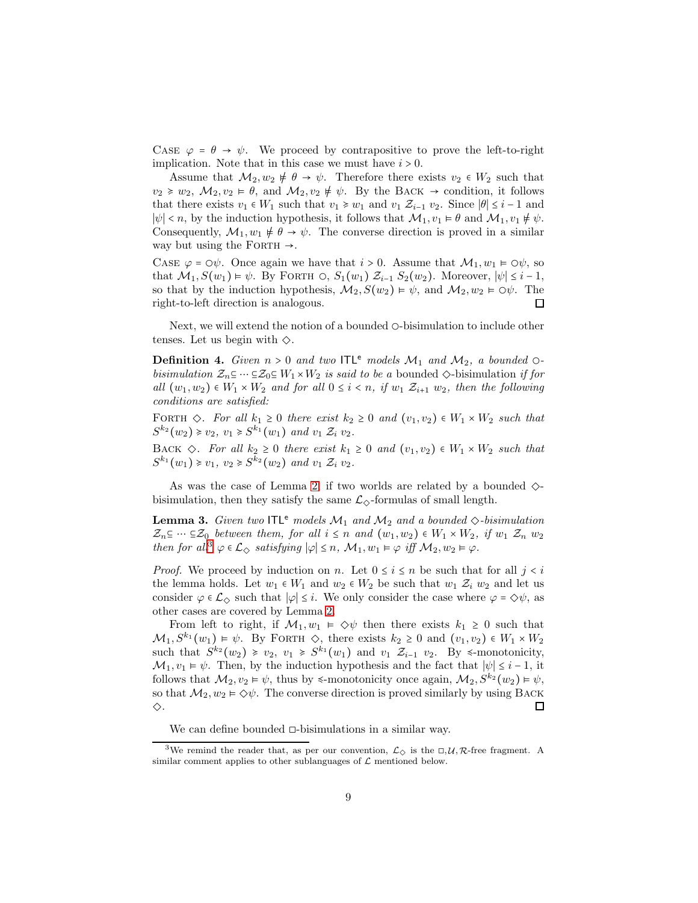CASE  $\varphi = \theta \rightarrow \psi$ . We proceed by contrapositive to prove the left-to-right implication. Note that in this case we must have  $i > 0$ .

Assume that  $\mathcal{M}_2, w_2 \neq \theta \rightarrow \psi$ . Therefore there exists  $v_2 \in W_2$  such that  $v_2 \geq v_2$ ,  $\mathcal{M}_2, v_2 \models \theta$ , and  $\mathcal{M}_2, v_2 \not\models \psi$ . By the BACK  $\rightarrow$  condition, it follows that there exists  $v_1 \in W_1$  such that  $v_1 \geq v_1$  and  $v_1 \mathcal{Z}_{i-1}$   $v_2$ . Since  $|\theta| \leq i-1$  and  $|\psi| < n$ , by the induction hypothesis, it follows that  $\mathcal{M}_1, v_1 \models \theta$  and  $\mathcal{M}_1, v_1 \not\models \psi$ . Consequently,  $\mathcal{M}_1, w_1 \neq \theta \rightarrow \psi$ . The converse direction is proved in a similar way but using the FORTH  $\rightarrow$ .

CASE  $\varphi = \circ \psi$ . Once again we have that  $i > 0$ . Assume that  $\mathcal{M}_1, w_1 \models \circ \psi$ , so that  $\mathcal{M}_1, S(w_1) \models \psi$ . By FORTH  $\bigcirc$ ,  $S_1(w_1)$   $\mathcal{Z}_{i-1}$   $S_2(w_2)$ . Moreover,  $|\psi| \leq i-1$ , so that by the induction hypothesis,  $\mathcal{M}_2$ ,  $S(w_2) \models \psi$ , and  $\mathcal{M}_2$ ,  $w_2 \models \bigcirc \psi$ . The right-to-left direction is analogous. 口

Next, we will extend the notion of a bounded ○-bisimulation to include other tenses. Let us begin with  $\diamondsuit$ .

**Definition 4.** Given  $n > 0$  and two ITL<sup>e</sup> models  $\mathcal{M}_1$  and  $\mathcal{M}_2$ , a bounded  $\circ$ bisimulation  $\mathcal{Z}_n \subseteq \cdots \subseteq \mathcal{Z}_0 \subseteq W_1 \times W_2$  is said to be a bounded  $\diamondsuit$ -bisimulation if for all  $(w_1, w_2) \in W_1 \times W_2$  and for all  $0 \leq i \leq n$ , if  $w_1 \mathcal{Z}_{i+1}$   $w_2$ , then the following conditions are satisfied:

FORTH  $\Diamond$ . For all  $k_1 \geq 0$  there exist  $k_2 \geq 0$  and  $(v_1, v_2) \in W_1 \times W_2$  such that  $S^{k_2}(w_2) \ge v_2, v_1 \ge S^{k_1}(w_1)$  and  $v_1 \mathcal{Z}_i v_2$ .

BACK  $\diamond$ . For all  $k_2 \geq 0$  there exist  $k_1 \geq 0$  and  $(v_1, v_2) \in W_1 \times W_2$  such that  $S^{k_1}(w_1) \geq v_1, v_2 \geq S^{k_2}(w_2)$  and  $v_1 \mathcal{Z}_i v_2$ .

As was the case of Lemma [2,](#page-7-1) if two worlds are related by a bounded  $\diamondsuit$ bisimulation, then they satisfy the same  $\mathcal{L}_{\diamond}$ -formulas of small length.

<span id="page-8-1"></span>**Lemma 3.** Given two  $ITL^e$  models  $M_1$  and  $M_2$  and a bounded  $\diamond$ -bisimulation  $\mathcal{Z}_n \subseteq \cdots \subseteq \mathcal{Z}_0$  between them, for all  $i \leq n$  and  $(w_1, w_2) \in W_1 \times W_2$ , if  $w_1 \mathcal{Z}_n w_2$ then for all<sup>[3](#page-8-0)</sup>  $\varphi \in \mathcal{L}_{\diamondsuit}$  satisfying  $|\varphi| \leq n$ ,  $\mathcal{M}_1, w_1 \models \varphi$  iff  $\mathcal{M}_2, w_2 \models \varphi$ .

*Proof.* We proceed by induction on n. Let  $0 \le i \le n$  be such that for all  $j < i$ the lemma holds. Let  $w_1 \in W_1$  and  $w_2 \in W_2$  be such that  $w_1 \mathcal{Z}_i w_2$  and let us consider  $\varphi \in \mathcal{L}_{\diamondsuit}$  such that  $|\varphi| \leq i$ . We only consider the case where  $\varphi = \diamondsuit \psi$ , as other cases are covered by Lemma [2.](#page-7-1)

From left to right, if  $\mathcal{M}_1, w_1 \models \Diamond \psi$  then there exists  $k_1 \geq 0$  such that  $\mathcal{M}_1, S^{k_1}(w_1) \models \psi$ . By FORTH  $\diamondsuit$ , there exists  $k_2 \geq 0$  and  $(v_1, v_2) \in W_1 \times W_2$ such that  $S^{k_2}(w_2) \geq v_2$ ,  $v_1 \geq S^{k_1}(w_1)$  and  $v_1 \mathcal{Z}_{i-1}$   $v_2$ . By  $\leq$ -monotonicity,  $\mathcal{M}_1, v_1 \models \psi$ . Then, by the induction hypothesis and the fact that  $|\psi| \leq i - 1$ , it follows that  $\mathcal{M}_2, v_2 \models \psi$ , thus by  $\leq$ -monotonicity once again,  $\mathcal{M}_2, S^{k_2}(w_2) \models \psi$ , so that  $\mathcal{M}_2, w_2 \models \Diamond \psi$ . The converse direction is proved similarly by using BACK ◇. □

We can define bounded ◻-bisimulations in a similar way.

<span id="page-8-0"></span><sup>&</sup>lt;sup>3</sup>We remind the reader that, as per our convention,  $\mathcal{L}_{\diamondsuit}$  is the  $\Box, \mathcal{U}, \mathcal{R}$ -free fragment. A similar comment applies to other sublanguages of  $\mathcal L$  mentioned below.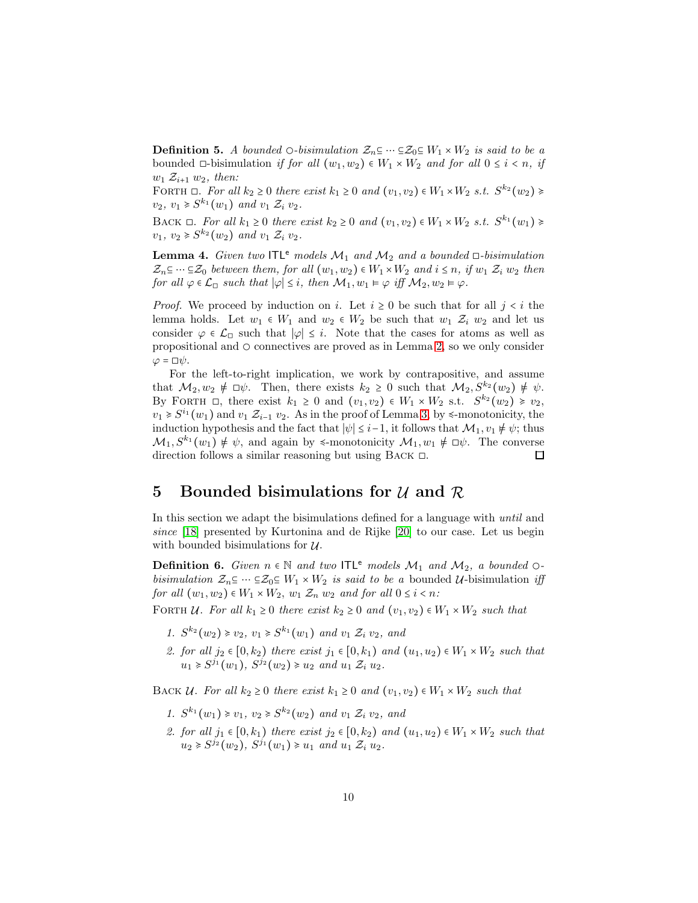**Definition 5.** A bounded  $\bigcirc$ -bisimulation  $\mathcal{Z}_n \subseteq \cdots \subseteq \mathcal{Z}_0 \subseteq W_1 \times W_2$  is said to be a bounded  $\Box$ -bisimulation if for all  $(w_1, w_2) \in W_1 \times W_2$  and for all  $0 \leq i \leq n$ , if  $w_1 \mathcal{Z}_{i+1} w_2$ , then:

FORTH  $\Box$ . For all  $k_2 \geq 0$  there exist  $k_1 \geq 0$  and  $(v_1, v_2) \in W_1 \times W_2$  s.t.  $S^{k_2}(w_2) \geq$  $v_2, v_1 \geq S^{k_1}(w_1)$  and  $v_1 \mathcal{Z}_i v_2$ .

BACK  $\Box$ . For all  $k_1 \geq 0$  there exist  $k_2 \geq 0$  and  $(v_1, v_2) \in W_1 \times W_2$  s.t.  $S^{k_1}(w_1) \geq$  $v_1, v_2 \geq S^{k_2}(w_2)$  and  $v_1 \mathcal{Z}_i v_2$ .

<span id="page-9-0"></span>**Lemma 4.** Given two ITL<sup>e</sup> models  $\mathcal{M}_1$  and  $\mathcal{M}_2$  and a bounded  $\Box$ -bisimulation  $\mathcal{Z}_n \subseteq \cdots \subseteq \mathcal{Z}_0$  between them, for all  $(w_1, w_2) \in W_1 \times W_2$  and  $i \leq n$ , if  $w_1 \mathcal{Z}_i w_2$  then for all  $\varphi \in \mathcal{L}_{\Box}$  such that  $|\varphi| \leq i$ , then  $\mathcal{M}_1, w_1 \models \varphi$  iff  $\mathcal{M}_2, w_2 \models \varphi$ .

*Proof.* We proceed by induction on i. Let  $i \geq 0$  be such that for all  $j \leq i$  the lemma holds. Let  $w_1 \in W_1$  and  $w_2 \in W_2$  be such that  $w_1 \mathcal{Z}_i w_2$  and let us consider  $\varphi \in \mathcal{L}_{\Box}$  such that  $|\varphi| \leq i$ . Note that the cases for atoms as well as propositional and  $\circ$  connectives are proved as in Lemma [2,](#page-7-1) so we only consider  $\varphi = \Box \psi$ .

For the left-to-right implication, we work by contrapositive, and assume that  $M_2, w_2 \notin \Box \psi$ . Then, there exists  $k_2 \geq 0$  such that  $M_2, S^{k_2}(w_2) \neq \psi$ . By FORTH  $\Box$ , there exist  $k_1 \geq 0$  and  $(v_1, v_2) \in W_1 \times W_2$  s.t.  $S^{k_2}(w_2) \geq v_2$ ,  $v_1 \geq S^{i_1}(w_1)$  and  $v_1 \mathcal{Z}_{i-1}$   $v_2$ . As in the proof of Lemma [3,](#page-8-1) by  $\leq$ -monotonicity, the induction hypothesis and the fact that  $|\psi| \leq i-1$ , it follows that  $\mathcal{M}_1$ ,  $v_1 \neq \psi$ ; thus  $\mathcal{M}_1, S^{k_1}(w_1) \neq \psi$ , and again by  $\leq$ -monotonicity  $\mathcal{M}_1, w_1 \neq \Box \psi$ . The converse direction follows a similar reasoning but using Back ◻.  $\Box$ 

### 5 Bounded bisimulations for  $\mathcal U$  and  $\mathcal R$

In this section we adapt the bisimulations defined for a language with until and since [\[18\]](#page-16-7) presented by Kurtonina and de Rijke [\[20\]](#page-16-8) to our case. Let us begin with bounded bisimulations for  $U$ .

**Definition 6.** Given  $n \in \mathbb{N}$  and two ITL<sup>e</sup> models  $\mathcal{M}_1$  and  $\mathcal{M}_2$ , a bounded  $\circ$ bisimulation  $\mathcal{Z}_n \subseteq \cdots \subseteq \mathcal{Z}_0 \subseteq W_1 \times W_2$  is said to be a bounded  $\mathcal{U}$ -bisimulation iff for all  $(w_1, w_2) \in W_1 \times W_2$ ,  $w_1 \mathcal{Z}_n w_2$  and for all  $0 \leq i \leq n$ :

FORTH U. For all  $k_1 \geq 0$  there exist  $k_2 \geq 0$  and  $(v_1, v_2) \in W_1 \times W_2$  such that

- 1.  $S^{k_2}(w_2) \ge v_2, v_1 \ge S^{k_1}(w_1)$  and  $v_1 \mathcal{Z}_i v_2$ , and
- 2. for all  $j_2 \in [0, k_2)$  there exist  $j_1 \in [0, k_1)$  and  $(u_1, u_2) \in W_1 \times W_2$  such that  $u_1 \geq S^{j_1}(w_1), S^{j_2}(w_2) \geq u_2 \text{ and } u_1 \mathcal{Z}_i u_2.$

BACK U. For all  $k_2 \geq 0$  there exist  $k_1 \geq 0$  and  $(v_1, v_2) \in W_1 \times W_2$  such that

- 1.  $S^{k_1}(w_1) \geq v_1, v_2 \geq S^{k_2}(w_2)$  and  $v_1 \mathcal{Z}_i v_2$ , and
- 2. for all  $j_1 \in [0, k_1)$  there exist  $j_2 \in [0, k_2)$  and  $(u_1, u_2) \in W_1 \times W_2$  such that  $u_2 \geq S^{j_2}(w_2), S^{j_1}(w_1) \geq u_1 \text{ and } u_1 \mathcal{Z}_i u_2.$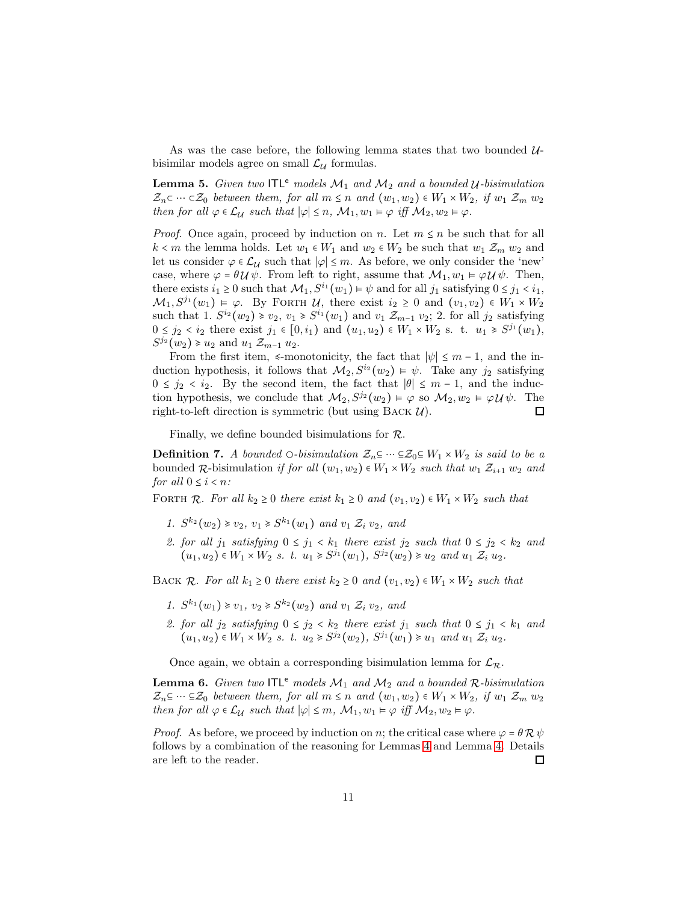As was the case before, the following lemma states that two bounded  $\mathcal{U}$ bisimilar models agree on small  $\mathcal{L}_{\mathcal{U}}$  formulas.

<span id="page-10-0"></span>**Lemma 5.** Given two  $\Pi\mathsf{L}^e$  models  $\mathcal{M}_1$  and  $\mathcal{M}_2$  and a bounded  $\mathcal{U}$ -bisimulation  $\mathcal{Z}_n \subset \cdots \subset \mathcal{Z}_0$  between them, for all  $m \leq n$  and  $(w_1, w_2) \in W_1 \times W_2$ , if  $w_1 \mathcal{Z}_m w_2$ then for all  $\varphi \in \mathcal{L}_{\mathcal{U}}$  such that  $|\varphi| \leq n$ ,  $\mathcal{M}_1, w_1 \models \varphi$  iff  $\mathcal{M}_2, w_2 \models \varphi$ .

*Proof.* Once again, proceed by induction on n. Let  $m \leq n$  be such that for all  $k < m$  the lemma holds. Let  $w_1 \in W_1$  and  $w_2 \in W_2$  be such that  $w_1 \mathcal{Z}_m w_2$  and let us consider  $\varphi \in \mathcal{L}_{\mathcal{U}}$  such that  $|\varphi| \leq m$ . As before, we only consider the 'new' case, where  $\varphi = \theta \mathcal{U} \psi$ . From left to right, assume that  $\mathcal{M}_1, w_1 \vDash \varphi \mathcal{U} \psi$ . Then, there exists  $i_1 \geq 0$  such that  $\mathcal{M}_1, S^{i_1}(w_1) \models \psi$  and for all  $j_1$  satisfying  $0 \leq j_1 < i_1$ ,  $\mathcal{M}_1, S^{j_1}(w_1) \models \varphi$ . By FORTH  $\mathcal{U}$ , there exist  $i_2 \geq 0$  and  $(v_1, v_2) \in W_1 \times W_2$ such that 1.  $S^{i_2}(w_2) \geq v_2, v_1 \geq S^{i_1}(w_1)$  and  $v_1 \mathcal{Z}_{m-1}$   $v_2$ ; 2. for all  $j_2$  satisfying  $0 \le j_2 < i_2$  there exist  $j_1 \in [0, i_1)$  and  $(u_1, u_2) \in W_1 \times W_2$  s. t.  $u_1 \ge S^{j_1}(w_1)$ ,  $S^{j_2}(w_2) \geq u_2$  and  $u_1 \mathcal{Z}_{m-1} u_2$ .

From the first item,  $\leq$ -monotonicity, the fact that  $|\psi| \leq m-1$ , and the induction hypothesis, it follows that  $\mathcal{M}_2, S^{i_2}(w_2) \models \psi$ . Take any j<sub>2</sub> satisfying  $0 \leq j_2 < i_2$ . By the second item, the fact that  $|\theta| \leq m-1$ , and the induction hypothesis, we conclude that  $\mathcal{M}_2$ ,  $S^{j_2}(w_2) \models \varphi$  so  $\mathcal{M}_2$ ,  $w_2 \models \varphi \mathcal{U} \psi$ . The right-to-left direction is symmetric (but using BACK  $\mathcal{U}$ ). 口

Finally, we define bounded bisimulations for  $\mathcal{R}$ .

**Definition 7.** A bounded  $\bigcirc$ -bisimulation  $\mathcal{Z}_n \subseteq \cdots \subseteq \mathcal{Z}_0 \subseteq W_1 \times W_2$  is said to be a bounded  $\mathcal{R}$ -bisimulation if for all  $(w_1, w_2) \in W_1 \times W_2$  such that  $w_1 \mathcal{Z}_{i+1} w_2$  and for all  $0 \leq i \leq n$ :

FORTH R. For all  $k_2 \geq 0$  there exist  $k_1 \geq 0$  and  $(v_1, v_2) \in W_1 \times W_2$  such that

- 1.  $S^{k_2}(w_2) \ge v_2, v_1 \ge S^{k_1}(w_1)$  and  $v_1 \mathcal{Z}_i v_2$ , and
- 2. for all  $j_1$  satisfying  $0 \leq j_1 < k_1$  there exist  $j_2$  such that  $0 \leq j_2 < k_2$  and  $(u_1, u_2) \in W_1 \times W_2$  s. t.  $u_1 \geq S^{j_1}(w_1)$ ,  $S^{j_2}(w_2) \geq u_2$  and  $u_1 \mathcal{Z}_i u_2$ .

BACK R. For all  $k_1 \geq 0$  there exist  $k_2 \geq 0$  and  $(v_1, v_2) \in W_1 \times W_2$  such that

- 1.  $S^{k_1}(w_1) \geq v_1, v_2 \geq S^{k_2}(w_2)$  and  $v_1 \mathcal{Z}_i v_2$ , and
- 2. for all  $j_2$  satisfying  $0 \le j_2 < k_2$  there exist  $j_1$  such that  $0 \le j_1 < k_1$  and  $(u_1, u_2) \in W_1 \times W_2 \, s. \, t. \, u_2 \geq S^{j_2}(w_2), \, S^{j_1}(w_1) \geq u_1 \, and \, u_1 \, \mathcal{Z}_i \, u_2.$

Once again, we obtain a corresponding bisimulation lemma for  $\mathcal{L}_{\mathcal{R}}$ .

**Lemma 6.** Given two  $ITL^e$  models  $M_1$  and  $M_2$  and a bounded  $\mathcal{R}$ -bisimulation  $\mathcal{Z}_n \subseteq \cdots \subseteq \mathcal{Z}_0$  between them, for all  $m \leq n$  and  $(w_1, w_2) \in W_1 \times W_2$ , if  $w_1 \mathcal{Z}_m w_2$ then for all  $\varphi \in \mathcal{L}_{\mathcal{U}}$  such that  $|\varphi| \leq m$ ,  $\mathcal{M}_1, w_1 \models \varphi$  iff  $\mathcal{M}_2, w_2 \models \varphi$ .

*Proof.* As before, we proceed by induction on n; the critical case where  $\varphi = \theta \mathcal{R} \psi$ follows by a combination of the reasoning for Lemmas [4](#page-9-0) and Lemma [4.](#page-9-0) Details are left to the reader.  $\Box$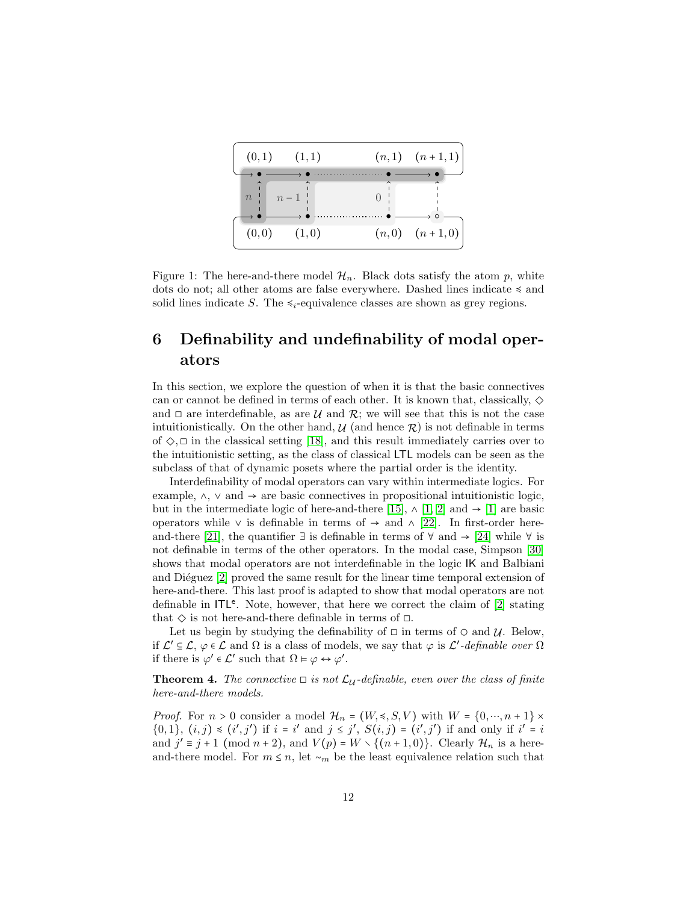<span id="page-11-0"></span>

Figure 1: The here-and-there model  $\mathcal{H}_n$ . Black dots satisfy the atom p, white dots do not; all other atoms are false everywhere. Dashed lines indicate ≼ and solid lines indicate S. The  $\leq_i$ -equivalence classes are shown as grey regions.

## 6 Definability and undefinability of modal operators

In this section, we explore the question of when it is that the basic connectives can or cannot be defined in terms of each other. It is known that, classically,  $\diamond$ and  $\Box$  are interdefinable, as are  $\mathcal U$  and  $\mathcal R$ ; we will see that this is not the case intuitionistically. On the other hand,  $\mathcal{U}$  (and hence  $\mathcal{R}$ ) is not definable in terms of  $\Diamond$ ,  $\Box$  in the classical setting [\[18\]](#page-16-7), and this result immediately carries over to the intuitionistic setting, as the class of classical LTL models can be seen as the subclass of that of dynamic posets where the partial order is the identity.

Interdefinability of modal operators can vary within intermediate logics. For example,  $\land$ ,  $\lor$  and  $\rightarrow$  are basic connectives in propositional intuitionistic logic, but in the intermediate logic of here-and-there [\[15\]](#page-16-9),  $\wedge$  [\[1,](#page-15-12) [2\]](#page-15-8) and  $\rightarrow$  [\[1\]](#page-15-12) are basic operators while  $\vee$  is definable in terms of  $\rightarrow$  and  $\wedge$  [\[22\]](#page-16-10). In first-order here-and-there [\[21\]](#page-16-11), the quantifier ∃ is definable in terms of  $\forall$  and  $\rightarrow$  [\[24\]](#page-16-12) while  $\forall$  is not definable in terms of the other operators. In the modal case, Simpson [\[30\]](#page-17-0) shows that modal operators are not interdefinable in the logic IK and Balbiani and Diéguez  $[2]$  proved the same result for the linear time temporal extension of here-and-there. This last proof is adapted to show that modal operators are not definable in  $ITL<sup>e</sup>$ . Note, however, that here we correct the claim of [\[2\]](#page-15-8) stating that  $\diamond$  is not here-and-there definable in terms of  $\square$ .

Let us begin by studying the definability of  $\Box$  in terms of  $\Diamond$  and  $\mathcal{U}$ . Below, if  $\mathcal{L}' \subseteq \mathcal{L}, \varphi \in \mathcal{L}$  and  $\Omega$  is a class of models, we say that  $\varphi$  is  $\mathcal{L}'$ -definable over  $\Omega$ if there is  $\varphi' \in \mathcal{L}'$  such that  $\Omega \models \varphi \leftrightarrow \varphi'$ .

**Theorem 4.** The connective  $\Box$  is not  $\mathcal{L}_{\mathcal{U}}$ -definable, even over the class of finite here-and-there models.

*Proof.* For  $n > 0$  consider a model  $\mathcal{H}_n = (W, \leq, S, V)$  with  $W = \{0, \dots, n+1\} \times$  $\{0,1\}, (i,j) \leq (i',j')$  if  $i = i'$  and  $j \leq j'$ ,  $S(i,j) = (i',j')$  if and only if  $i' = i$ and  $j' \equiv j+1 \pmod{n+2}$ , and  $V(p) = W \setminus \{(n+1,0)\}\)$ . Clearly  $\mathcal{H}_n$  is a hereand-there model. For  $m \leq n$ , let  $\sim_m$  be the least equivalence relation such that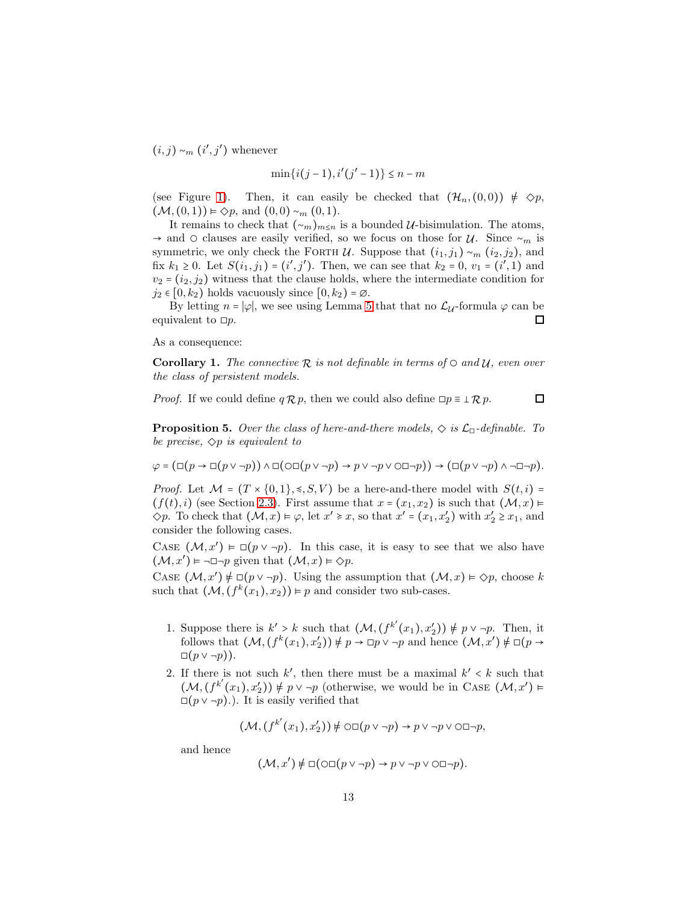$(i, j) \sim_m (i', j')$  whenever

$$
\min\{i(j-1), i'(j'-1)\} \le n-m
$$

(see Figure [1\)](#page-11-0). Then, it can easily be checked that  $(\mathcal{H}_n, (0,0)) \neq \Diamond p$ ,  $(M, (0, 1)) \models \Diamond p$ , and  $(0, 0) \sim_m (0, 1)$ .

It remains to check that  $({\sim}_m)_{m\leq n}$  is a bounded  $\mathcal{U}$ -bisimulation. The atoms,  $\rightarrow$  and  $\circ$  clauses are easily verified, so we focus on those for  $\mathcal{U}$ . Since  $\sim_m$  is symmetric, we only check the FORTH  $\mathcal U$ . Suppose that  $(i_1, j_1) \sim_m (i_2, j_2)$ , and fix  $k_1 \geq 0$ . Let  $S(i_1, j_1) = (i', j')$ . Then, we can see that  $k_2 = 0$ ,  $v_1 = (i', 1)$  and  $v_2 = (i_2, j_2)$  witness that the clause holds, where the intermediate condition for  $j_2 \in [0, k_2)$  holds vacuously since  $[0, k_2) = \emptyset$ .

By letting  $n = |\varphi|$ , we see using Lemma [5](#page-10-0) that that no  $\mathcal{L}_{\mathcal{U}}$ -formula  $\varphi$  can be equivalent to  $\square p$ . □

As a consequence:

**Corollary 1.** The connective  $\mathcal{R}$  is not definable in terms of  $\circ$  and  $\mathcal{U}$ , even over the class of persistent models.

 $\Box$ *Proof.* If we could define  $q \mathcal{R} p$ , then we could also define  $\Box p \equiv \bot \mathcal{R} p$ .

<span id="page-12-0"></span>**Proposition 5.** Over the class of here-and-there models,  $\Diamond$  is  $\mathcal{L}_{\Box}$ -definable. To be precise,  $\Diamond p$  is equivalent to

 $\varphi = (\Box(p \to \Box(p \lor \neg p)) \land \Box(\bigcirc \Box(p \lor \neg p) \to p \lor \neg p \lor \bigcirc \Box \neg p)) \to (\Box(p \lor \neg p) \land \neg \Box \neg p).$ 

*Proof.* Let  $\mathcal{M} = (T \times \{0,1\}, \leqslant, S, V)$  be a here-and-there model with  $S(t, i)$  $(f(t), i)$  (see Section [2.3\)](#page-4-1). First assume that  $x = (x_1, x_2)$  is such that  $(\mathcal{M}, x) \vDash$  $\Diamond p$ . To check that  $(\mathcal{M}, x) \models \varphi$ , let  $x' \geq x$ , so that  $x' = (x_1, x_2')$  with  $x_2' \geq x_1$ , and consider the following cases.

CASE  $(M, x') \models \Box(p \lor \neg p)$ . In this case, it is easy to see that we also have  $(\mathcal{M}, x') \models \neg \Box \neg p$  given that  $(\mathcal{M}, x) \models \Diamond p$ .

CASE  $(M, x') \neq \Box(p \lor \neg p)$ . Using the assumption that  $(M, x) \models \Diamond p$ , choose k such that  $(M, (f^k(x_1), x_2)) \models p$  and consider two sub-cases.

- 1. Suppose there is  $k' > k$  such that  $(\mathcal{M}, (f^{k'}(x_1), x'_2)) \neq p \vee \neg p$ . Then, it follows that  $(M, (f^k(x_1), x'_2)) \neq p \rightarrow \Box p \lor \neg p$  and hence  $(M, x') \neq \Box (p \rightarrow \Box p) \lor \Box p$  $\Box(p \vee \neg p)$ .
- 2. If there is not such  $k'$ , then there must be a maximal  $k' < k$  such that  $(M, (f^{k'}(x_1), x'_2)) \neq p \vee \neg p$  (otherwise, we would be in CASE  $(M, x') \models$  $\Box(p \vee \neg p)$ .). It is easily verified that

$$
(\mathcal{M}, (f^{k'}(x_1), x_2')) \notin \bigcirc \square (p \vee \neg p) \rightarrow p \vee \neg p \vee \bigcirc \square \neg p,
$$

and hence

$$
(\mathcal{M}, x') \notin \Box(\bigcirc \Box(p \vee \neg p) \rightarrow p \vee \neg p \vee \bigcirc \Box \neg p).
$$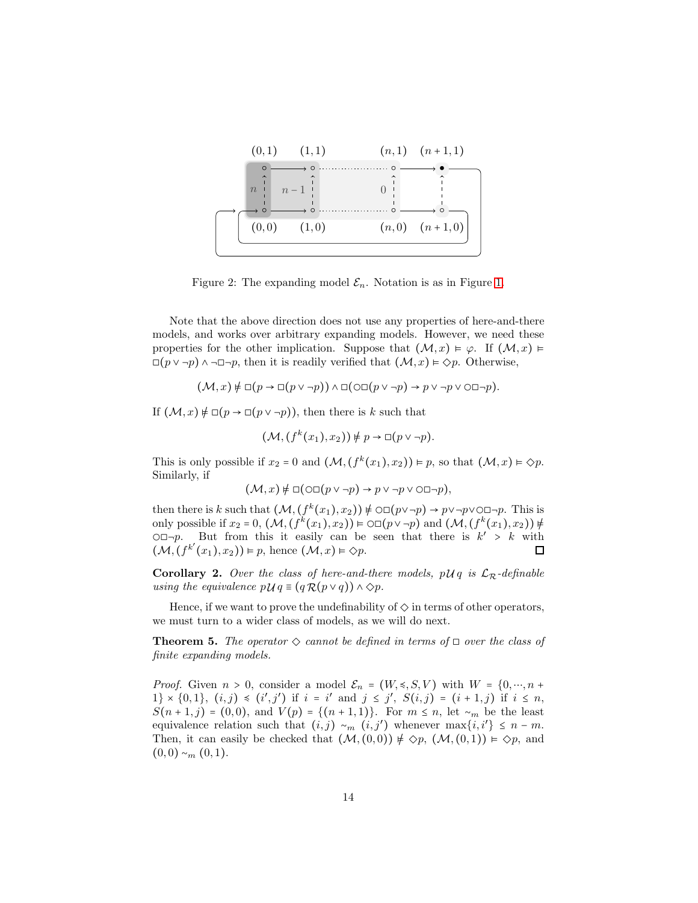

Figure 2: The expanding model  $\mathcal{E}_n$ . Notation is as in Figure [1.](#page-11-0)

Note that the above direction does not use any properties of here-and-there models, and works over arbitrary expanding models. However, we need these properties for the other implication. Suppose that  $(\mathcal{M}, x) \models \varphi$ . If  $(\mathcal{M}, x) \models$  $□(p ∨ ¬p) ∧ ¬□¬p$ , then it is readily verified that  $(\mathcal{M}, x) \models \Diamond p$ . Otherwise,

$$
(\mathcal{M},x)\not\models \Box(p\rightarrow \Box(p\vee\neg p))\wedge \Box(\Diamond\Box(p\vee\neg p)\rightarrow p\vee\neg p\vee\Diamond\Box\neg p).
$$

If  $(M, x) \neq \Box(p \rightarrow \Box(p \vee \neg p))$ , then there is k such that

$$
(\mathcal{M}, (f^k(x_1), x_2)) \neq p \to \Box(p \lor \neg p).
$$

This is only possible if  $x_2 = 0$  and  $(\mathcal{M}, (f^k(x_1), x_2)) \models p$ , so that  $(\mathcal{M}, x) \models \Diamond p$ . Similarly, if

$$
(\mathcal{M},x) \neq \Box(\bigcirc \Box(p \vee \neg p) \rightarrow p \vee \neg p \vee \bigcirc \Box \neg p),
$$

then there is k such that  $(\mathcal{M}, (f^k(x_1), x_2)) \neq \bigcirc \square (p \vee \neg p) \rightarrow p \vee \neg p \vee \square \neg p$ . This is only possible if  $x_2 = 0$ ,  $(\mathcal{M}, (f^k(x_1), x_2)) \models \bigcirc \Box(p \lor \neg p)$  and  $(\mathcal{M}, (f^k(x_1), x_2)) \notin$  $\bigcirc \Box \neg p$ . But from this it easily can be seen that there is  $k' > k$  with  $(\mathcal{M}, (f^{k'}(x_1), x_2)) \models p$ , hence  $(\mathcal{M}, x) \models \Diamond p$ .  $\Box$ 

**Corollary 2.** Over the class of here-and-there models,  $p\mathcal{U}q$  is  $\mathcal{L}_R$ -definable using the equivalence  $p \mathcal{U} q \equiv (q \mathcal{R}(p \vee q)) \wedge \Diamond p$ .

Hence, if we want to prove the undefinability of  $\Diamond$  in terms of other operators, we must turn to a wider class of models, as we will do next.

**Theorem 5.** The operator  $\Diamond$  cannot be defined in terms of  $\Box$  over the class of finite expanding models.

*Proof.* Given  $n > 0$ , consider a model  $\mathcal{E}_n = (W, \leq, S, V)$  with  $W = \{0, \cdots, n +$  $1\} \times \{0,1\}, (i,j) \leq (i',j')$  if  $i = i'$  and  $j \leq j'$ ,  $S(i,j) = (i+1,j)$  if  $i \leq n$ ,  $S(n+1,j) = (0,0)$ , and  $V(p) = \{(n+1,1)\}\$ . For  $m \leq n$ , let  $\sim_m$  be the least equivalence relation such that  $(i, j) \sim_m (i, j')$  whenever  $\max\{i, i'\} \leq n - m$ . Then, it can easily be checked that  $(M, (0, 0)) \not\models \Diamond p$ ,  $(M, (0, 1)) \models \Diamond p$ , and  $(0, 0) \sim_m (0, 1).$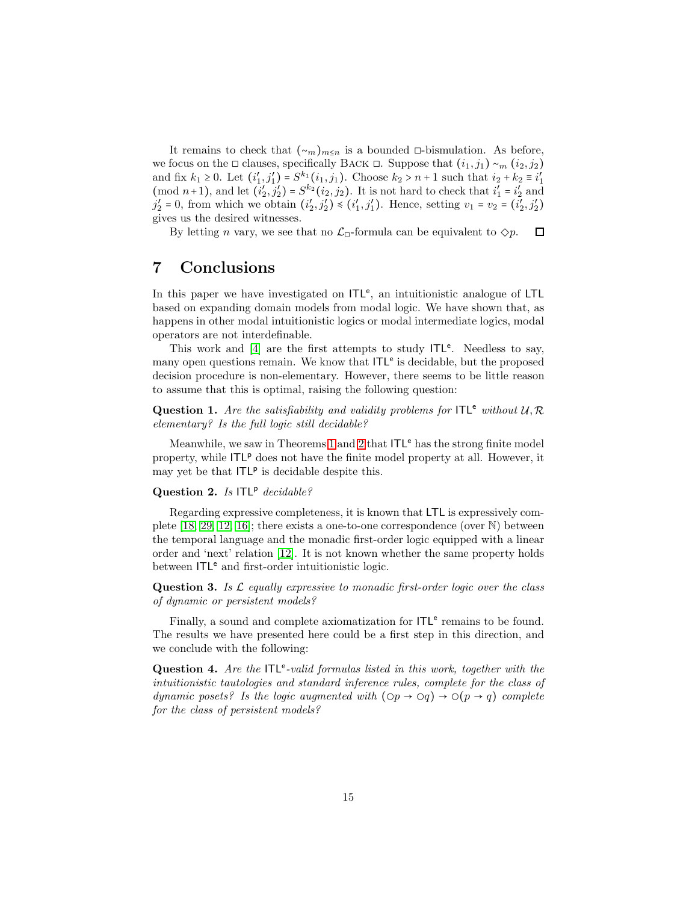It remains to check that  $({\sim}_m)_{m\leq n}$  is a bounded □-bismulation. As before, we focus on the □ clauses, specifically BACK □. Suppose that  $(i_1, j_1) \sim_m (i_2, j_2)$ and fix  $k_1 \geq 0$ . Let  $(i'_1, j'_1) = S^{k_1}(i_1, j_1)$ . Choose  $k_2 > n+1$  such that  $i_2 + k_2 \equiv i'_1$ (mod  $n+1$ ), and let  $(i'_2, j'_2) = S^{k_2}(i_2, j_2)$ . It is not hard to check that  $i'_1 = i'_2$  and  $j'_2 = 0$ , from which we obtain  $(i'_2, j'_2) \preccurlyeq (i'_1, j'_1)$ . Hence, setting  $v_1 = v_2 = (i'_2, j'_2)$ gives us the desired witnesses.

By letting *n* vary, we see that no  $\mathcal{L}_{\Box}$ -formula can be equivalent to  $\diamondsuit p$ .  $\Box$ 

### 7 Conclusions

In this paper we have investigated on  $ITL<sup>e</sup>$ , an intuitionistic analogue of LTL based on expanding domain models from modal logic. We have shown that, as happens in other modal intuitionistic logics or modal intermediate logics, modal operators are not interdefinable.

This work and  $[4]$  are the first attempts to study  $ITL<sup>e</sup>$ . Needless to say, many open questions remain. We know that ITL<sup>e</sup> is decidable, but the proposed decision procedure is non-elementary. However, there seems to be little reason to assume that this is optimal, raising the following question:

**Question 1.** Are the satisfiability and validity problems for  $ITL<sup>e</sup>$  without  $U, \mathcal{R}$ elementary? Is the full logic still decidable?

Meanwhile, we saw in Theorems [1](#page-3-1) and [2](#page-4-2) that  $ITL<sup>e</sup>$  has the strong finite model property, while ITLP does not have the finite model property at all. However, it may yet be that  $ITL<sup>p</sup>$  is decidable despite this.

#### Question 2. Is  $ITL^p$  decidable?

Regarding expressive completeness, it is known that LTL is expressively complete [\[18,](#page-16-7) [29,](#page-17-2) [12,](#page-15-6) [16\]](#page-16-13); there exists a one-to-one correspondence (over N) between the temporal language and the monadic first-order logic equipped with a linear order and 'next' relation [\[12\]](#page-15-6). It is not known whether the same property holds between  $ITL<sup>e</sup>$  and first-order intuitionistic logic.

**Question 3.** Is  $\mathcal{L}$  equally expressive to monadic first-order logic over the class of dynamic or persistent models?

Finally, a sound and complete axiomatization for  $ITL<sup>e</sup>$  remains to be found. The results we have presented here could be a first step in this direction, and we conclude with the following:

Question 4. Are the  $ITL<sup>e</sup>-valid formulas listed in this work, together with the$ intuitionistic tautologies and standard inference rules, complete for the class of dynamic posets? Is the logic augmented with  $(\text{Op} \rightarrow \text{O}q) \rightarrow \text{O}(p \rightarrow q)$  complete for the class of persistent models?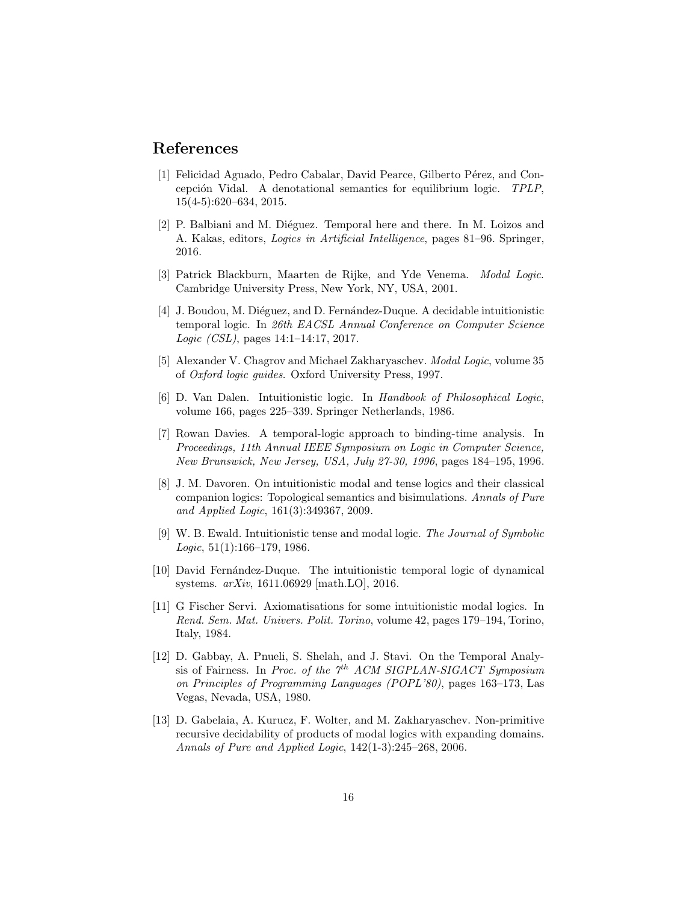### <span id="page-15-12"></span>References

- [1] Felicidad Aguado, Pedro Cabalar, David Pearce, Gilberto Pérez, and Concepción Vidal. A denotational semantics for equilibrium logic. TPLP, 15(4-5):620–634, 2015.
- <span id="page-15-8"></span>[2] P. Balbiani and M. Diéguez. Temporal here and there. In M. Loizos and A. Kakas, editors, Logics in Artificial Intelligence, pages 81–96. Springer, 2016.
- <span id="page-15-11"></span><span id="page-15-4"></span>[3] Patrick Blackburn, Maarten de Rijke, and Yde Venema. Modal Logic. Cambridge University Press, New York, NY, USA, 2001.
- [4] J. Boudou, M. Diéguez, and D. Fernández-Duque. A decidable intuitionistic temporal logic. In 26th EACSL Annual Conference on Computer Science Logic (CSL), pages 14:1–14:17, 2017.
- <span id="page-15-0"></span>[5] Alexander V. Chagrov and Michael Zakharyaschev. Modal Logic, volume 35 of Oxford logic guides. Oxford University Press, 1997.
- <span id="page-15-1"></span>[6] D. Van Dalen. Intuitionistic logic. In Handbook of Philosophical Logic, volume 166, pages 225–339. Springer Netherlands, 1986.
- <span id="page-15-3"></span>[7] Rowan Davies. A temporal-logic approach to binding-time analysis. In Proceedings, 11th Annual IEEE Symposium on Logic in Computer Science, New Brunswick, New Jersey, USA, July 27-30, 1996, pages 184–195, 1996.
- <span id="page-15-7"></span>[8] J. M. Davoren. On intuitionistic modal and tense logics and their classical companion logics: Topological semantics and bisimulations. Annals of Pure and Applied Logic, 161(3):349367, 2009.
- <span id="page-15-2"></span>[9] W. B. Ewald. Intuitionistic tense and modal logic. The Journal of Symbolic Logic,  $51(1):166-179$ , 1986.
- <span id="page-15-9"></span>[10] David Fernández-Duque. The intuitionistic temporal logic of dynamical systems. arXiv, 1611.06929 [math.LO], 2016.
- <span id="page-15-10"></span>[11] G Fischer Servi. Axiomatisations for some intuitionistic modal logics. In Rend. Sem. Mat. Univers. Polit. Torino, volume 42, pages 179–194, Torino, Italy, 1984.
- <span id="page-15-6"></span>[12] D. Gabbay, A. Pnueli, S. Shelah, and J. Stavi. On the Temporal Analysis of Fairness. In Proc. of the  $7<sup>th</sup>$  ACM SIGPLAN-SIGACT Symposium on Principles of Programming Languages (POPL'80), pages 163–173, Las Vegas, Nevada, USA, 1980.
- <span id="page-15-5"></span>[13] D. Gabelaia, A. Kurucz, F. Wolter, and M. Zakharyaschev. Non-primitive recursive decidability of products of modal logics with expanding domains. Annals of Pure and Applied Logic, 142(1-3):245–268, 2006.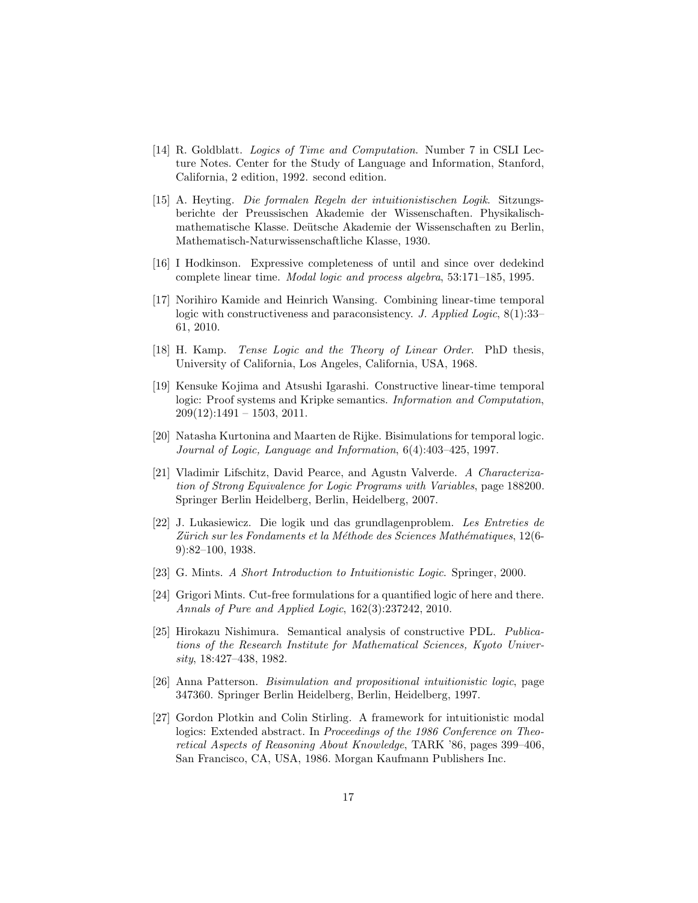- <span id="page-16-5"></span>[14] R. Goldblatt. Logics of Time and Computation. Number 7 in CSLI Lecture Notes. Center for the Study of Language and Information, Stanford, California, 2 edition, 1992. second edition.
- <span id="page-16-9"></span>[15] A. Heyting. Die formalen Regeln der intuitionistischen Logik. Sitzungsberichte der Preussischen Akademie der Wissenschaften. Physikalischmathematische Klasse. Deütsche Akademie der Wissenschaften zu Berlin, Mathematisch-Naturwissenschaftliche Klasse, 1930.
- <span id="page-16-13"></span>[16] I Hodkinson. Expressive completeness of until and since over dedekind complete linear time. Modal logic and process algebra, 53:171–185, 1995.
- <span id="page-16-2"></span>[17] Norihiro Kamide and Heinrich Wansing. Combining linear-time temporal logic with constructiveness and paraconsistency. J. Applied Logic, 8(1):33-61, 2010.
- <span id="page-16-7"></span><span id="page-16-1"></span>[18] H. Kamp. Tense Logic and the Theory of Linear Order. PhD thesis, University of California, Los Angeles, California, USA, 1968.
- [19] Kensuke Kojima and Atsushi Igarashi. Constructive linear-time temporal logic: Proof systems and Kripke semantics. Information and Computation,  $209(12):1491 - 1503, 2011.$
- <span id="page-16-8"></span>[20] Natasha Kurtonina and Maarten de Rijke. Bisimulations for temporal logic. Journal of Logic, Language and Information, 6(4):403–425, 1997.
- <span id="page-16-11"></span>[21] Vladimir Lifschitz, David Pearce, and Agustn Valverde. A Characterization of Strong Equivalence for Logic Programs with Variables, page 188200. Springer Berlin Heidelberg, Berlin, Heidelberg, 2007.
- <span id="page-16-10"></span>[22] J. Lukasiewicz. Die logik und das grundlagenproblem. Les Entreties de Zürich sur les Fondaments et la Méthode des Sciences Mathématiques, 12(6-9):82–100, 1938.
- <span id="page-16-12"></span><span id="page-16-0"></span>[23] G. Mints. A Short Introduction to Intuitionistic Logic. Springer, 2000.
- [24] Grigori Mints. Cut-free formulations for a quantified logic of here and there. Annals of Pure and Applied Logic, 162(3):237242, 2010.
- <span id="page-16-4"></span>[25] Hirokazu Nishimura. Semantical analysis of constructive PDL. Publications of the Research Institute for Mathematical Sciences, Kyoto University, 18:427–438, 1982.
- <span id="page-16-6"></span>[26] Anna Patterson. Bisimulation and propositional intuitionistic logic, page 347360. Springer Berlin Heidelberg, Berlin, Heidelberg, 1997.
- <span id="page-16-3"></span>[27] Gordon Plotkin and Colin Stirling. A framework for intuitionistic modal logics: Extended abstract. In Proceedings of the 1986 Conference on Theoretical Aspects of Reasoning About Knowledge, TARK '86, pages 399–406, San Francisco, CA, USA, 1986. Morgan Kaufmann Publishers Inc.